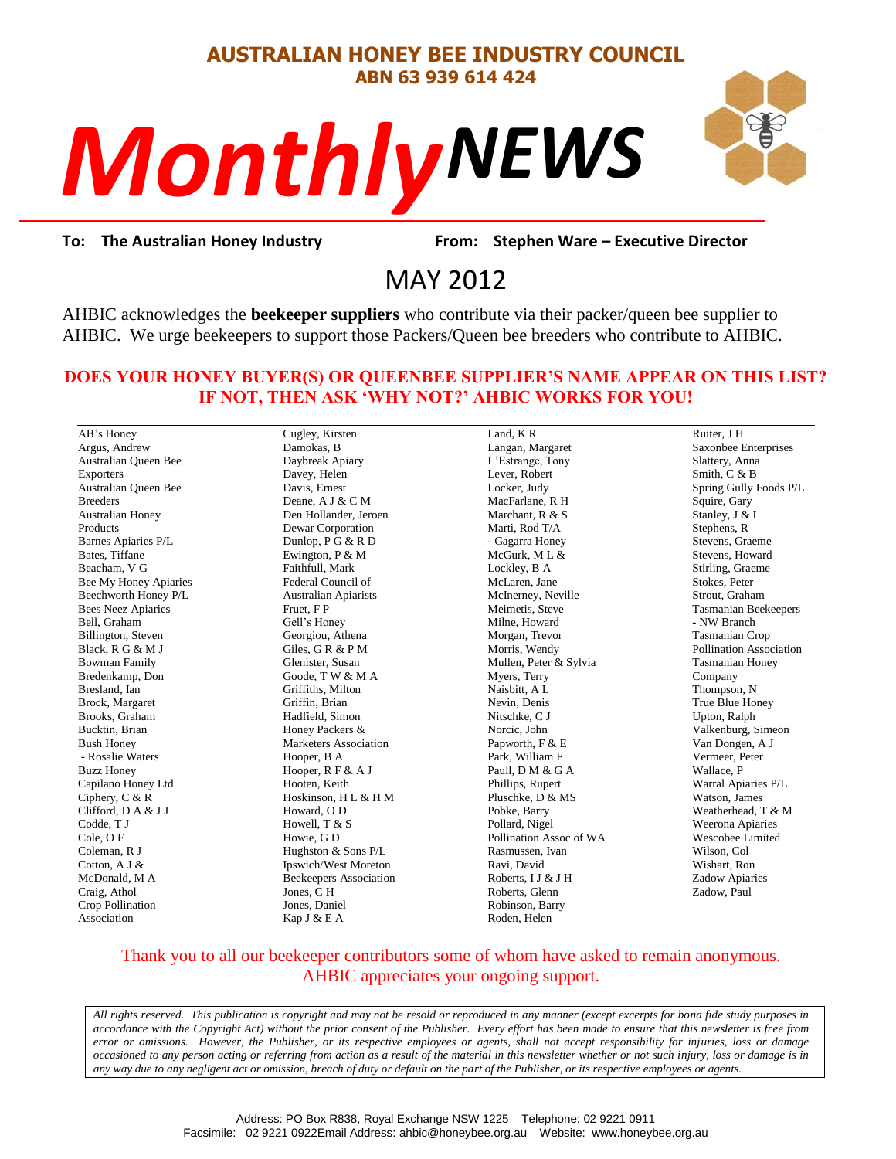# **AUSTRALIAN HONEY BEE INDUSTRY COUNCIL ABN 63 939 614 424**

# *NEWS Monthly*



rom: Stephe<br>2012 **To: The Australian Honey Industry From: Stephen Ware – Executive Director**

# MAY 2012

AHBIC acknowledges the **beekeeper suppliers** who contribute via their packer/queen bee supplier to AHBIC. We urge beekeepers to support those Packers/Queen bee breeders who contribute to AHBIC.

#### **DOES YOUR HONEY BUYER(S) OR QUEENBEE SUPPLIER'S NAME APPEAR ON THIS LIST? IF NOT, THEN ASK 'WHY NOT?' AHBIC WORKS FOR YOU!**

AB's Honey Argus, Andrew Australian Queen Bee Exporters Australian Queen Bee Breeders Australian Honey Products Barnes Apiaries P/L Bates, Tiffane Beacham, V G Bee My Honey Apiaries Beechworth Honey P/L Bees Neez Apiaries Bell, Graham Billington, Steven Black, R G & M J Bowman Family Bredenkamp, Don Bresland, Ian Brock, Margaret Brooks, Graham Bucktin, Brian Bush Honey - Rosalie Waters Buzz Honey Capilano Honey Ltd Ciphery, C & R Clifford, D A & J J Codde, T J Cole, O F Coleman, R J Cotton, A J & McDonald, M A Craig, Athol Crop Pollination Association

Cugley, Kirsten Damokas, B Daybreak Apiary Davey, Helen Davis, Ernest Deane, A J & C M Den Hollander, Jeroen Dewar Corporation Dunlop, P G & R D Ewington, P & M Faithfull, Mark Federal Council of Australian Apiarists Fruet, F P Gell's Honey Georgiou, Athena Giles, G R & P M Glenister, Susan Goode, T W & M A Griffiths, Milton Griffin, Brian Hadfield, Simon Honey Packers & Marketers Association Hooper, B A Hooper, R F & A J Hooten, Keith Hoskinson, H L & H M Howard, O D Howell, T & S Howie, G D Hughston & Sons P/L Ipswich/West Moreton Beekeepers Association Jones, C H Jones, Daniel

Kap J & E A

Land, K R Langan, Margaret L'Estrange, Tony Lever, Robert Locker, Judy MacFarlane, R H Marchant, R & S Marti, Rod T/A - Gagarra Honey McGurk, M L & Lockley, B A McLaren, Jane McInerney, Neville Meimetis, Steve Milne, Howard Morgan, Trevor Morris, Wendy Mullen, Peter & Sylvia Myers, Terry Naisbitt, A L Nevin, Denis Nitschke, C J Norcic, John Papworth, F & E Park, William F Paull, D M & G A Phillips, Rupert Pluschke, D & MS Pobke, Barry Pollard, Nigel Pollination Assoc of WA Rasmussen, Ivan Ravi, David Roberts, I J & J H Roberts, Glenn Robinson, Barry Roden, Helen

Ruiter, J H Saxonbee Enterprises Slattery, Anna Smith, C & B Spring Gully Foods P/L Squire, Gary Stanley, J & L Stephens, R Stevens, Graeme Stevens, Howard Stirling, Graeme Stokes, Peter Strout, Graham Tasmanian Beekeepers - NW Branch Tasmanian Crop Pollination Association Tasmanian Honey Company Thompson, N True Blue Honey Upton, Ralph Valkenburg, Simeon Van Dongen, A J Vermeer, Peter Wallace, P Warral Apiaries P/L Watson, James Weatherhead, T & M Weerona Apiaries Wescobee Limited Wilson, Col Wishart, Ron Zadow Apiaries Zadow, Paul

#### Thank you to all our beekeeper contributors some of whom have asked to remain anonymous. AHBIC appreciates your ongoing support.

*All rights reserved. This publication is copyright and may not be resold or reproduced in any manner (except excerpts for bona fide study purposes in accordance with the Copyright Act) without the prior consent of the Publisher. Every effort has been made to ensure that this newsletter is free from error or omissions. However, the Publisher, or its respective employees or agents, shall not accept responsibility for injuries, loss or damage occasioned to any person acting or referring from action as a result of the material in this newsletter whether or not such injury, loss or damage is in any way due to any negligent act or omission, breach of duty or default on the part of the Publisher, or its respective employees or agents.*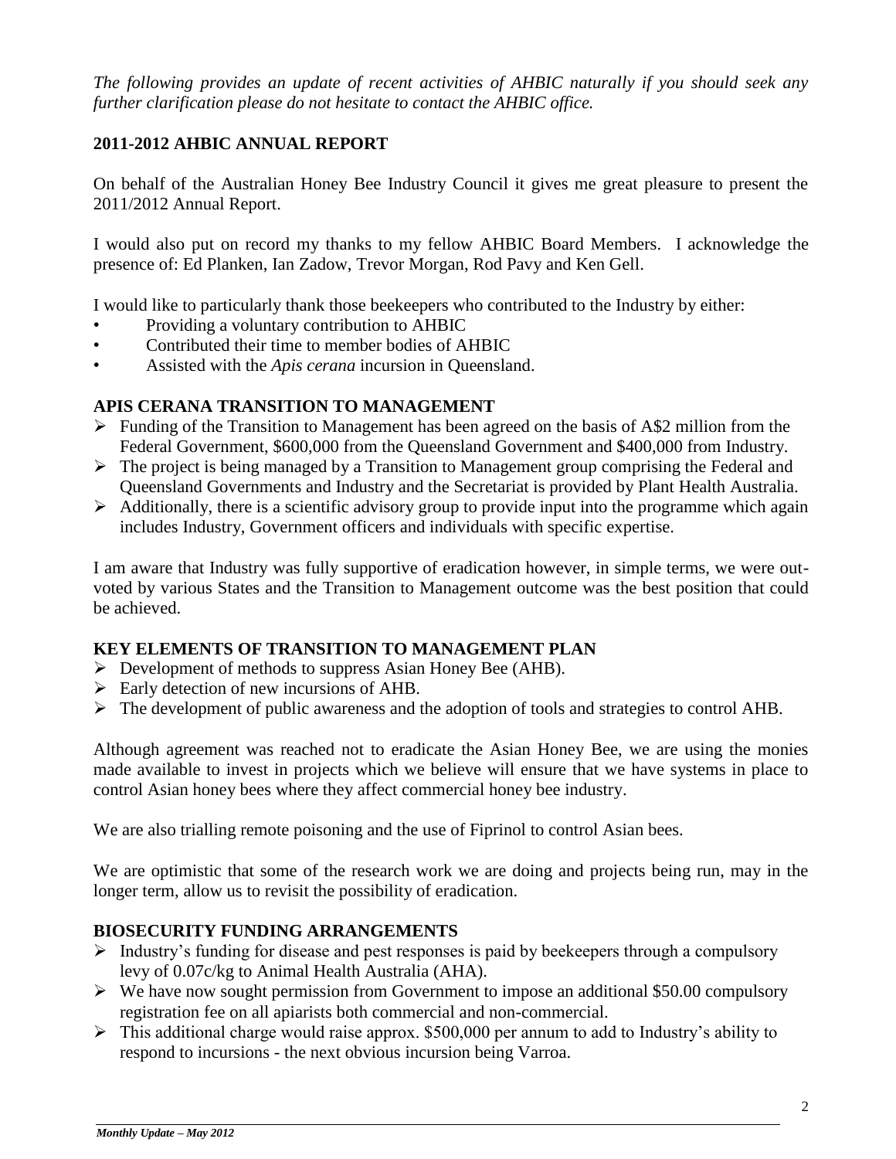*The following provides an update of recent activities of AHBIC naturally if you should seek any further clarification please do not hesitate to contact the AHBIC office.*

# **2011-2012 AHBIC ANNUAL REPORT**

On behalf of the Australian Honey Bee Industry Council it gives me great pleasure to present the 2011/2012 Annual Report.

I would also put on record my thanks to my fellow AHBIC Board Members. I acknowledge the presence of: Ed Planken, Ian Zadow, Trevor Morgan, Rod Pavy and Ken Gell.

I would like to particularly thank those beekeepers who contributed to the Industry by either:

- Providing a voluntary contribution to AHBIC
- Contributed their time to member bodies of AHBIC
- Assisted with the *Apis cerana* incursion in Queensland.

#### **APIS CERANA TRANSITION TO MANAGEMENT**

- $\triangleright$  Funding of the Transition to Management has been agreed on the basis of A\$2 million from the Federal Government, \$600,000 from the Queensland Government and \$400,000 from Industry.
- $\triangleright$  The project is being managed by a Transition to Management group comprising the Federal and Queensland Governments and Industry and the Secretariat is provided by Plant Health Australia.
- $\triangleright$  Additionally, there is a scientific advisory group to provide input into the programme which again includes Industry, Government officers and individuals with specific expertise.

I am aware that Industry was fully supportive of eradication however, in simple terms, we were outvoted by various States and the Transition to Management outcome was the best position that could be achieved.

#### **KEY ELEMENTS OF TRANSITION TO MANAGEMENT PLAN**

- $\triangleright$  Development of methods to suppress Asian Honey Bee (AHB).
- $\triangleright$  Early detection of new incursions of AHB.
- The development of public awareness and the adoption of tools and strategies to control AHB.

Although agreement was reached not to eradicate the Asian Honey Bee, we are using the monies made available to invest in projects which we believe will ensure that we have systems in place to control Asian honey bees where they affect commercial honey bee industry.

We are also trialling remote poisoning and the use of Fiprinol to control Asian bees.

We are optimistic that some of the research work we are doing and projects being run, may in the longer term, allow us to revisit the possibility of eradication.

#### **BIOSECURITY FUNDING ARRANGEMENTS**

- $\triangleright$  Industry's funding for disease and pest responses is paid by beekeepers through a compulsory levy of 0.07c/kg to Animal Health Australia (AHA).
- $\triangleright$  We have now sought permission from Government to impose an additional \$50.00 compulsory registration fee on all apiarists both commercial and non-commercial.
- $\triangleright$  This additional charge would raise approx. \$500,000 per annum to add to Industry's ability to respond to incursions - the next obvious incursion being Varroa.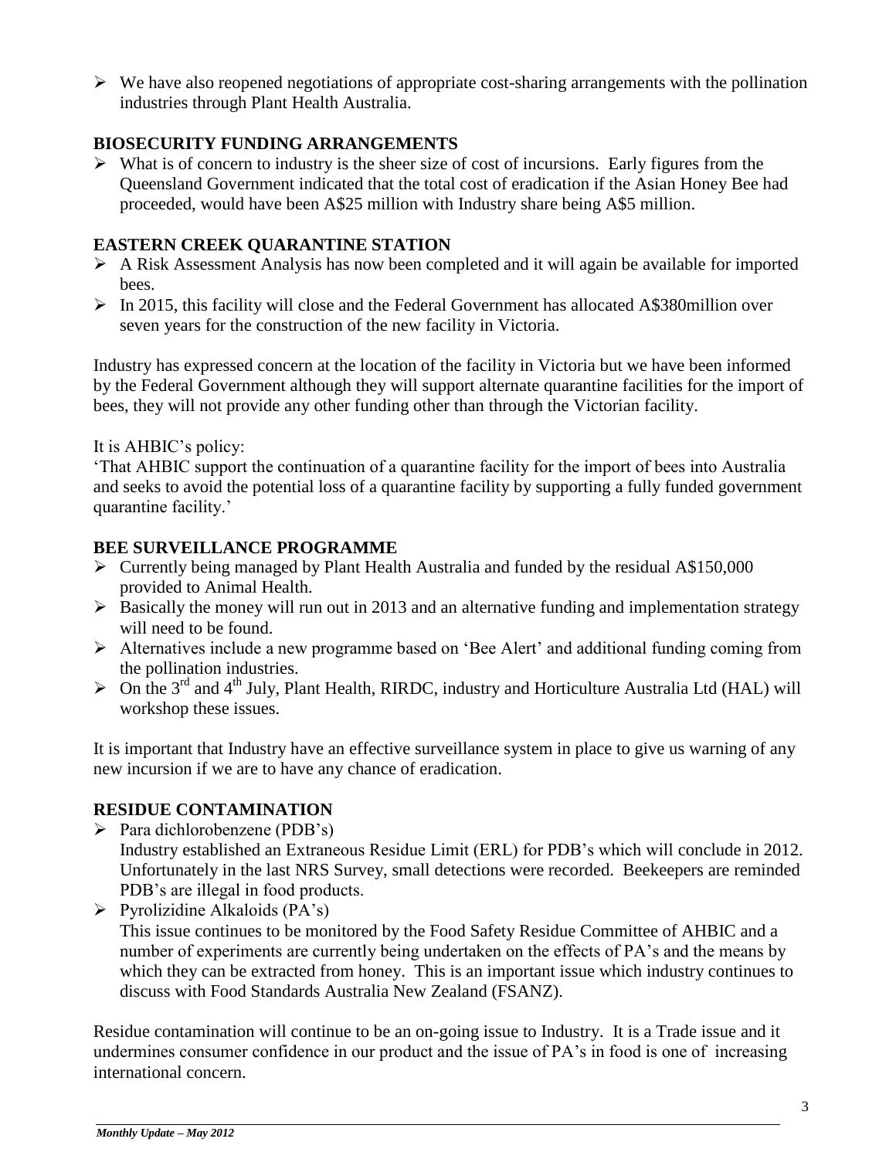$\triangleright$  We have also reopened negotiations of appropriate cost-sharing arrangements with the pollination industries through Plant Health Australia.

# **BIOSECURITY FUNDING ARRANGEMENTS**

 $\triangleright$  What is of concern to industry is the sheer size of cost of incursions. Early figures from the Queensland Government indicated that the total cost of eradication if the Asian Honey Bee had proceeded, would have been A\$25 million with Industry share being A\$5 million.

# **EASTERN CREEK QUARANTINE STATION**

- $\triangleright$  A Risk Assessment Analysis has now been completed and it will again be available for imported bees.
- $\triangleright$  In 2015, this facility will close and the Federal Government has allocated A\$380million over seven years for the construction of the new facility in Victoria.

Industry has expressed concern at the location of the facility in Victoria but we have been informed by the Federal Government although they will support alternate quarantine facilities for the import of bees, they will not provide any other funding other than through the Victorian facility.

#### It is AHBIC's policy:

'That AHBIC support the continuation of a quarantine facility for the import of bees into Australia and seeks to avoid the potential loss of a quarantine facility by supporting a fully funded government quarantine facility.'

# **BEE SURVEILLANCE PROGRAMME**

- $\triangleright$  Currently being managed by Plant Health Australia and funded by the residual A\$150,000 provided to Animal Health.
- $\triangleright$  Basically the money will run out in 2013 and an alternative funding and implementation strategy will need to be found.
- Alternatives include a new programme based on 'Bee Alert' and additional funding coming from the pollination industries.
- $\triangleright$  On the 3<sup>rd</sup> and 4<sup>th</sup> July, Plant Health, RIRDC, industry and Horticulture Australia Ltd (HAL) will workshop these issues.

It is important that Industry have an effective surveillance system in place to give us warning of any new incursion if we are to have any chance of eradication.

# **RESIDUE CONTAMINATION**

- $\triangleright$  Para dichlorobenzene (PDB's) Industry established an Extraneous Residue Limit (ERL) for PDB's which will conclude in 2012. Unfortunately in the last NRS Survey, small detections were recorded. Beekeepers are reminded PDB's are illegal in food products.
- $\triangleright$  Pyrolizidine Alkaloids (PA's) This issue continues to be monitored by the Food Safety Residue Committee of AHBIC and a number of experiments are currently being undertaken on the effects of PA's and the means by which they can be extracted from honey. This is an important issue which industry continues to discuss with Food Standards Australia New Zealand (FSANZ).

Residue contamination will continue to be an on-going issue to Industry. It is a Trade issue and it undermines consumer confidence in our product and the issue of PA's in food is one of increasing international concern.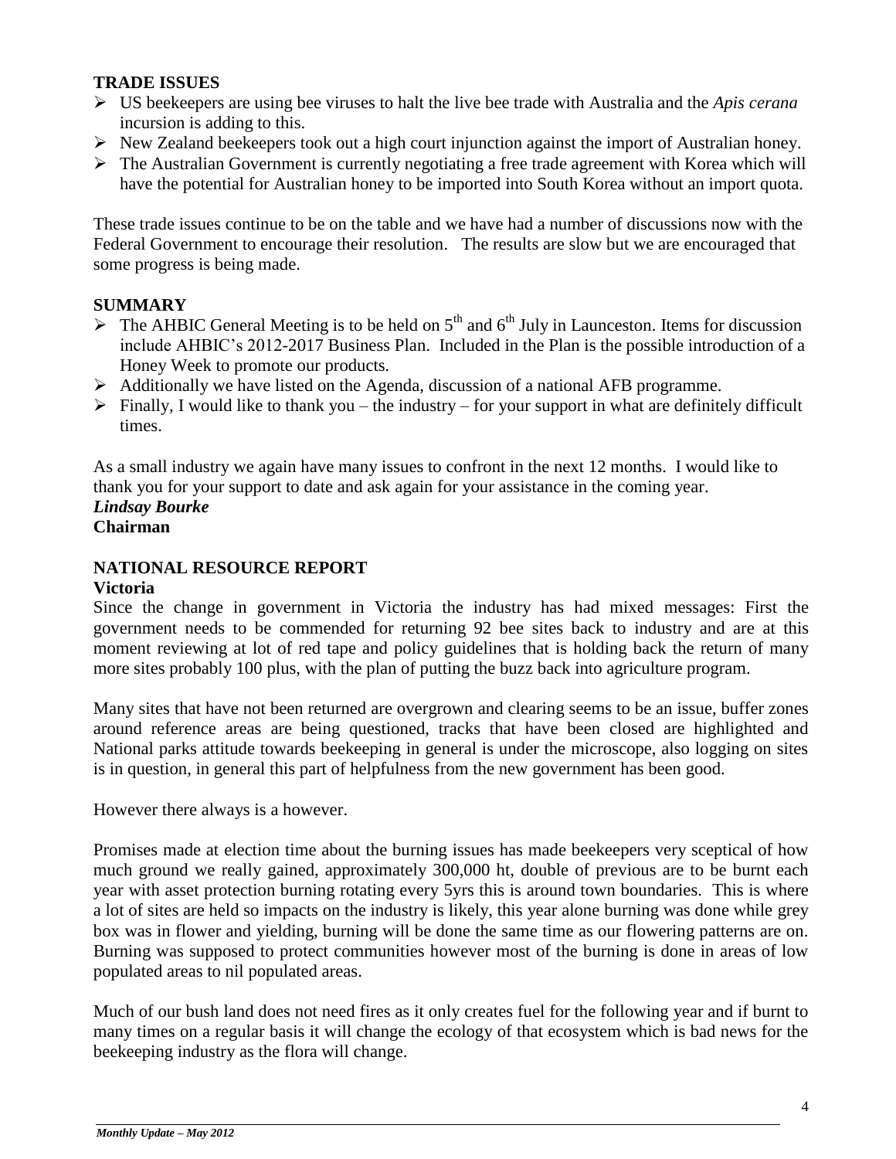## **TRADE ISSUES**

- US beekeepers are using bee viruses to halt the live bee trade with Australia and the *Apis cerana*  incursion is adding to this.
- $\triangleright$  New Zealand beekeepers took out a high court injunction against the import of Australian honey.
- $\triangleright$  The Australian Government is currently negotiating a free trade agreement with Korea which will have the potential for Australian honey to be imported into South Korea without an import quota.

These trade issues continue to be on the table and we have had a number of discussions now with the Federal Government to encourage their resolution. The results are slow but we are encouraged that some progress is being made.

# **SUMMARY**

- $\triangleright$  The AHBIC General Meeting is to be held on 5<sup>th</sup> and 6<sup>th</sup> July in Launceston. Items for discussion include AHBIC's 2012-2017 Business Plan. Included in the Plan is the possible introduction of a Honey Week to promote our products.
- $\triangleright$  Additionally we have listed on the Agenda, discussion of a national AFB programme.
- $\triangleright$  Finally, I would like to thank you the industry for your support in what are definitely difficult times.

As a small industry we again have many issues to confront in the next 12 months. I would like to thank you for your support to date and ask again for your assistance in the coming year.

*Lindsay Bourke*  **Chairman**

# **NATIONAL RESOURCE REPORT**

#### **Victoria**

Since the change in government in Victoria the industry has had mixed messages: First the government needs to be commended for returning 92 bee sites back to industry and are at this moment reviewing at lot of red tape and policy guidelines that is holding back the return of many more sites probably 100 plus, with the plan of putting the buzz back into agriculture program.

Many sites that have not been returned are overgrown and clearing seems to be an issue, buffer zones around reference areas are being questioned, tracks that have been closed are highlighted and National parks attitude towards beekeeping in general is under the microscope, also logging on sites is in question, in general this part of helpfulness from the new government has been good.

However there always is a however.

Promises made at election time about the burning issues has made beekeepers very sceptical of how much ground we really gained, approximately 300,000 ht, double of previous are to be burnt each year with asset protection burning rotating every 5yrs this is around town boundaries. This is where a lot of sites are held so impacts on the industry is likely, this year alone burning was done while grey box was in flower and yielding, burning will be done the same time as our flowering patterns are on. Burning was supposed to protect communities however most of the burning is done in areas of low populated areas to nil populated areas.

Much of our bush land does not need fires as it only creates fuel for the following year and if burnt to many times on a regular basis it will change the ecology of that ecosystem which is bad news for the beekeeping industry as the flora will change.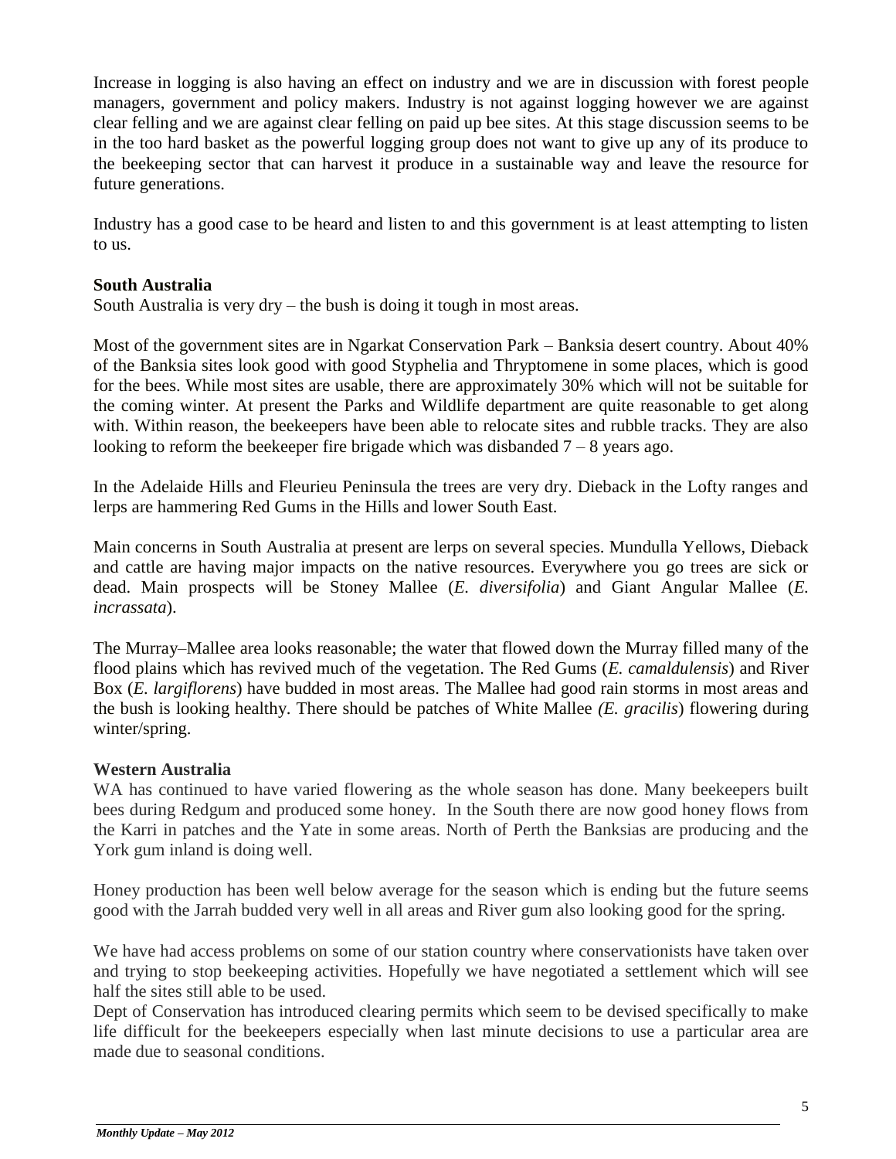Increase in logging is also having an effect on industry and we are in discussion with forest people managers, government and policy makers. Industry is not against logging however we are against clear felling and we are against clear felling on paid up bee sites. At this stage discussion seems to be in the too hard basket as the powerful logging group does not want to give up any of its produce to the beekeeping sector that can harvest it produce in a sustainable way and leave the resource for future generations.

Industry has a good case to be heard and listen to and this government is at least attempting to listen to us.

#### **South Australia**

South Australia is very dry – the bush is doing it tough in most areas.

Most of the government sites are in Ngarkat Conservation Park – Banksia desert country. About 40% of the Banksia sites look good with good Styphelia and Thryptomene in some places, which is good for the bees. While most sites are usable, there are approximately 30% which will not be suitable for the coming winter. At present the Parks and Wildlife department are quite reasonable to get along with. Within reason, the beekeepers have been able to relocate sites and rubble tracks. They are also looking to reform the beekeeper fire brigade which was disbanded  $7 - 8$  years ago.

In the Adelaide Hills and Fleurieu Peninsula the trees are very dry. Dieback in the Lofty ranges and lerps are hammering Red Gums in the Hills and lower South East.

Main concerns in South Australia at present are lerps on several species. Mundulla Yellows, Dieback and cattle are having major impacts on the native resources. Everywhere you go trees are sick or dead. Main prospects will be Stoney Mallee (*E. diversifolia*) and Giant Angular Mallee (*E. incrassata*).

The Murray–Mallee area looks reasonable; the water that flowed down the Murray filled many of the flood plains which has revived much of the vegetation. The Red Gums (*E. camaldulensis*) and River Box (*E. largiflorens*) have budded in most areas. The Mallee had good rain storms in most areas and the bush is looking healthy. There should be patches of White Mallee *(E. gracilis*) flowering during winter/spring.

#### **Western Australia**

WA has continued to have varied flowering as the whole season has done. Many beekeepers built bees during Redgum and produced some honey. In the South there are now good honey flows from the Karri in patches and the Yate in some areas. North of Perth the Banksias are producing and the York gum inland is doing well.

Honey production has been well below average for the season which is ending but the future seems good with the Jarrah budded very well in all areas and River gum also looking good for the spring.

We have had access problems on some of our station country where conservationists have taken over and trying to stop beekeeping activities. Hopefully we have negotiated a settlement which will see half the sites still able to be used.

Dept of Conservation has introduced clearing permits which seem to be devised specifically to make life difficult for the beekeepers especially when last minute decisions to use a particular area are made due to seasonal conditions.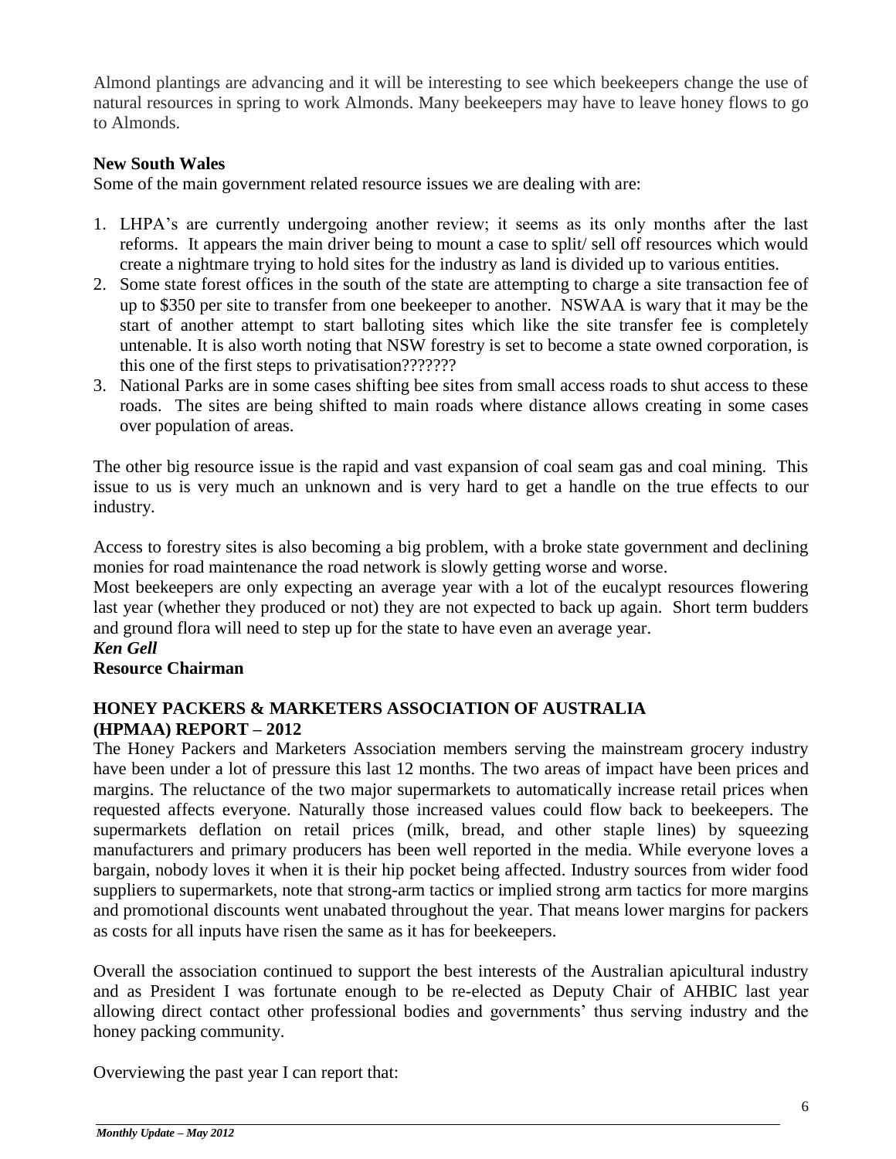Almond plantings are advancing and it will be interesting to see which beekeepers change the use of natural resources in spring to work Almonds. Many beekeepers may have to leave honey flows to go to Almonds.

#### **New South Wales**

Some of the main government related resource issues we are dealing with are:

- 1. LHPA's are currently undergoing another review; it seems as its only months after the last reforms. It appears the main driver being to mount a case to split/ sell off resources which would create a nightmare trying to hold sites for the industry as land is divided up to various entities.
- 2. Some state forest offices in the south of the state are attempting to charge a site transaction fee of up to \$350 per site to transfer from one beekeeper to another. NSWAA is wary that it may be the start of another attempt to start balloting sites which like the site transfer fee is completely untenable. It is also worth noting that NSW forestry is set to become a state owned corporation, is this one of the first steps to privatisation???????
- 3. National Parks are in some cases shifting bee sites from small access roads to shut access to these roads. The sites are being shifted to main roads where distance allows creating in some cases over population of areas.

The other big resource issue is the rapid and vast expansion of coal seam gas and coal mining. This issue to us is very much an unknown and is very hard to get a handle on the true effects to our industry.

Access to forestry sites is also becoming a big problem, with a broke state government and declining monies for road maintenance the road network is slowly getting worse and worse.

Most beekeepers are only expecting an average year with a lot of the eucalypt resources flowering last year (whether they produced or not) they are not expected to back up again. Short term budders and ground flora will need to step up for the state to have even an average year.

## *Ken Gell*

#### **Resource Chairman**

#### **HONEY PACKERS & MARKETERS ASSOCIATION OF AUSTRALIA (HPMAA) REPORT – 2012**

The Honey Packers and Marketers Association members serving the mainstream grocery industry have been under a lot of pressure this last 12 months. The two areas of impact have been prices and margins. The reluctance of the two major supermarkets to automatically increase retail prices when requested affects everyone. Naturally those increased values could flow back to beekeepers. The supermarkets deflation on retail prices (milk, bread, and other staple lines) by squeezing manufacturers and primary producers has been well reported in the media. While everyone loves a bargain, nobody loves it when it is their hip pocket being affected. Industry sources from wider food suppliers to supermarkets, note that strong-arm tactics or implied strong arm tactics for more margins and promotional discounts went unabated throughout the year. That means lower margins for packers as costs for all inputs have risen the same as it has for beekeepers.

Overall the association continued to support the best interests of the Australian apicultural industry and as President I was fortunate enough to be re-elected as Deputy Chair of AHBIC last year allowing direct contact other professional bodies and governments' thus serving industry and the honey packing community.

Overviewing the past year I can report that: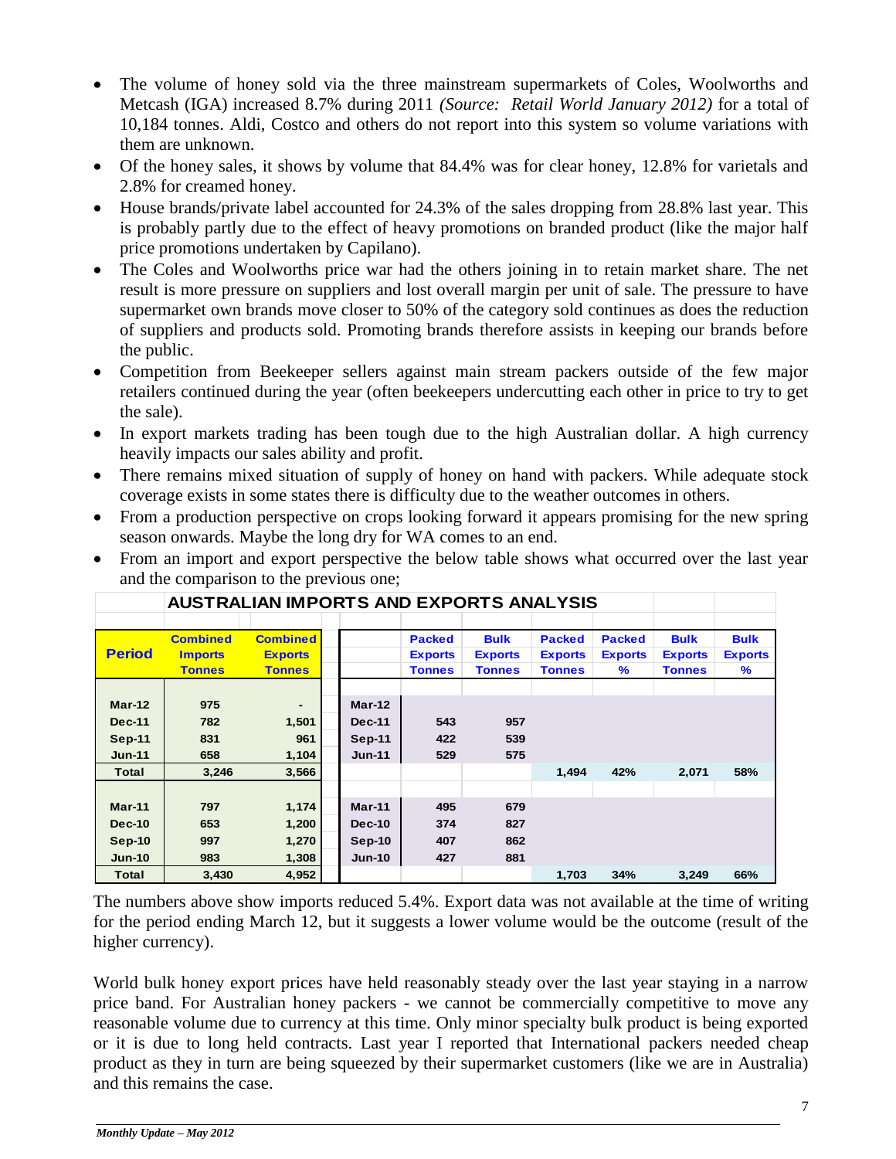- The volume of honey sold via the three mainstream supermarkets of Coles, Woolworths and Metcash (IGA) increased 8.7% during 2011 *(Source: Retail World January 2012)* for a total of 10,184 tonnes. Aldi, Costco and others do not report into this system so volume variations with them are unknown.
- Of the honey sales, it shows by volume that 84.4% was for clear honey, 12.8% for varietals and 2.8% for creamed honey.
- House brands/private label accounted for 24.3% of the sales dropping from 28.8% last year. This is probably partly due to the effect of heavy promotions on branded product (like the major half price promotions undertaken by Capilano).
- The Coles and Woolworths price war had the others joining in to retain market share. The net result is more pressure on suppliers and lost overall margin per unit of sale. The pressure to have supermarket own brands move closer to 50% of the category sold continues as does the reduction of suppliers and products sold. Promoting brands therefore assists in keeping our brands before the public.
- Competition from Beekeeper sellers against main stream packers outside of the few major retailers continued during the year (often beekeepers undercutting each other in price to try to get the sale).
- In export markets trading has been tough due to the high Australian dollar. A high currency heavily impacts our sales ability and profit.
- There remains mixed situation of supply of honey on hand with packers. While adequate stock coverage exists in some states there is difficulty due to the weather outcomes in others.
- From a production perspective on crops looking forward it appears promising for the new spring season onwards. Maybe the long dry for WA comes to an end.
- From an import and export perspective the below table shows what occurred over the last year and the comparison to the previous one;

|               | <b>AUSTRALIAN IMPORTS AND EXPORTS ANALYSIS</b> |                 |  |               |                |                |                |                |                |                |
|---------------|------------------------------------------------|-----------------|--|---------------|----------------|----------------|----------------|----------------|----------------|----------------|
|               |                                                |                 |  |               |                |                |                |                |                |                |
|               | <b>Combined</b>                                | <b>Combined</b> |  |               | <b>Packed</b>  | <b>Bulk</b>    | <b>Packed</b>  | <b>Packed</b>  | <b>Bulk</b>    | <b>Bulk</b>    |
| <b>Period</b> | <b>Imports</b>                                 | <b>Exports</b>  |  |               | <b>Exports</b> | <b>Exports</b> | <b>Exports</b> | <b>Exports</b> | <b>Exports</b> | <b>Exports</b> |
|               | <b>Tonnes</b>                                  | <b>Tonnes</b>   |  |               | <b>Tonnes</b>  | <b>Tonnes</b>  | <b>Tonnes</b>  | ℅              | <b>Tonnes</b>  | $\%$           |
|               |                                                |                 |  |               |                |                |                |                |                |                |
| $Mar-12$      | 975                                            |                 |  | $Mar-12$      |                |                |                |                |                |                |
| <b>Dec-11</b> | 782                                            | 1,501           |  | <b>Dec-11</b> | 543            | 957            |                |                |                |                |
| <b>Sep-11</b> | 831                                            | 961             |  | <b>Sep-11</b> | 422            | 539            |                |                |                |                |
| <b>Jun-11</b> | 658                                            | 1,104           |  | $Jun-11$      | 529            | 575            |                |                |                |                |
| <b>Total</b>  | 3,246                                          | 3,566           |  |               |                |                | 1.494          | 42%            | 2,071          | 58%            |
|               |                                                |                 |  |               |                |                |                |                |                |                |
| $Mar-11$      | 797                                            | 1,174           |  | $Mar-11$      | 495            | 679            |                |                |                |                |
| <b>Dec-10</b> | 653                                            | 1,200           |  | <b>Dec-10</b> | 374            | 827            |                |                |                |                |
| $Sep-10$      | 997                                            | 1,270           |  | $Sep-10$      | 407            | 862            |                |                |                |                |
| $Jun-10$      | 983                                            | 1,308           |  | $Jun-10$      | 427            | 881            |                |                |                |                |
| <b>Total</b>  | 3,430                                          | 4,952           |  |               |                |                | 1,703          | 34%            | 3,249          | 66%            |

The numbers above show imports reduced 5.4%. Export data was not available at the time of writing for the period ending March 12, but it suggests a lower volume would be the outcome (result of the higher currency).

World bulk honey export prices have held reasonably steady over the last year staying in a narrow price band. For Australian honey packers - we cannot be commercially competitive to move any reasonable volume due to currency at this time. Only minor specialty bulk product is being exported or it is due to long held contracts. Last year I reported that International packers needed cheap product as they in turn are being squeezed by their supermarket customers (like we are in Australia) and this remains the case.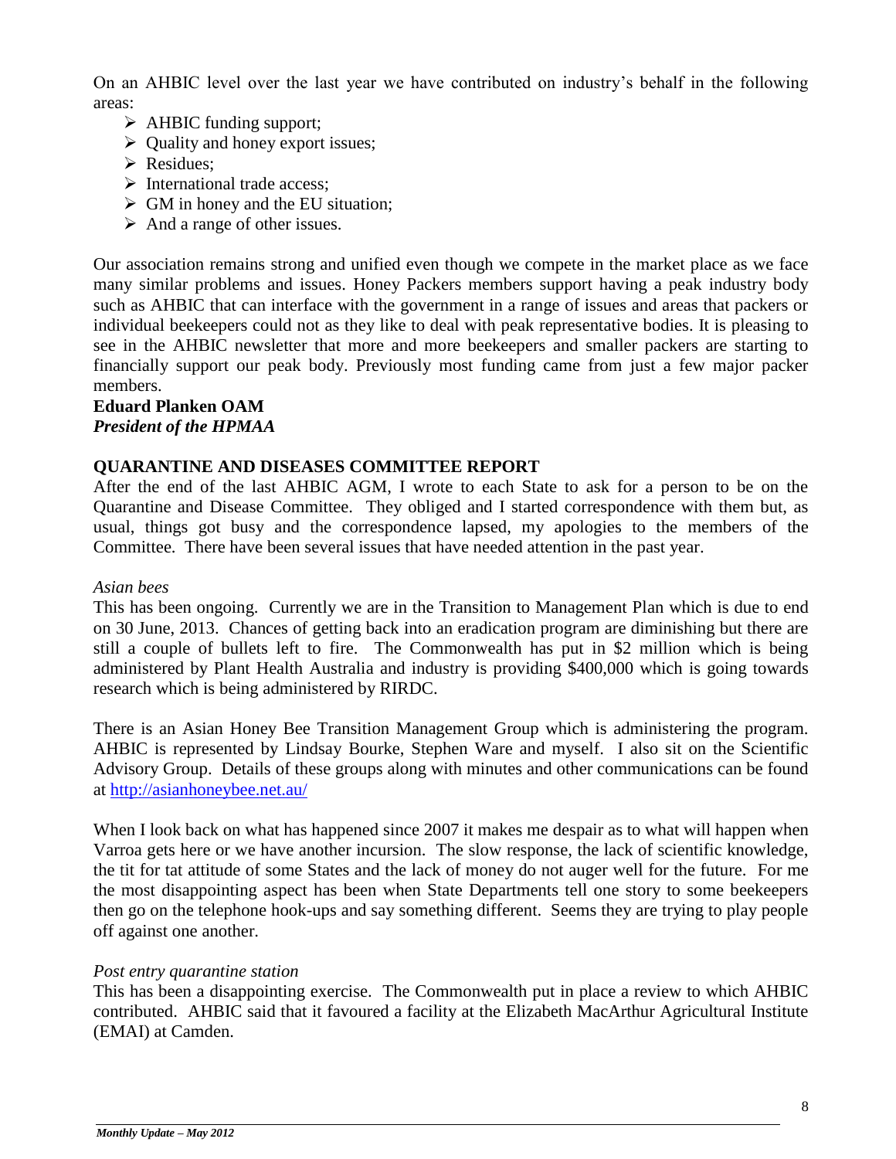On an AHBIC level over the last year we have contributed on industry's behalf in the following areas:

- $\triangleright$  AHBIC funding support;
- $\triangleright$  Quality and honey export issues;
- Residues:
- $\triangleright$  International trade access;
- $\triangleright$  GM in honey and the EU situation;
- $\triangleright$  And a range of other issues.

Our association remains strong and unified even though we compete in the market place as we face many similar problems and issues. Honey Packers members support having a peak industry body such as AHBIC that can interface with the government in a range of issues and areas that packers or individual beekeepers could not as they like to deal with peak representative bodies. It is pleasing to see in the AHBIC newsletter that more and more beekeepers and smaller packers are starting to financially support our peak body. Previously most funding came from just a few major packer members.

#### **Eduard Planken OAM** *President of the HPMAA*

#### **QUARANTINE AND DISEASES COMMITTEE REPORT**

After the end of the last AHBIC AGM, I wrote to each State to ask for a person to be on the Quarantine and Disease Committee. They obliged and I started correspondence with them but, as usual, things got busy and the correspondence lapsed, my apologies to the members of the Committee. There have been several issues that have needed attention in the past year.

#### *Asian bees*

This has been ongoing. Currently we are in the Transition to Management Plan which is due to end on 30 June, 2013. Chances of getting back into an eradication program are diminishing but there are still a couple of bullets left to fire. The Commonwealth has put in \$2 million which is being administered by Plant Health Australia and industry is providing \$400,000 which is going towards research which is being administered by RIRDC.

There is an Asian Honey Bee Transition Management Group which is administering the program. AHBIC is represented by Lindsay Bourke, Stephen Ware and myself. I also sit on the Scientific Advisory Group. Details of these groups along with minutes and other communications can be found at<http://asianhoneybee.net.au/>

When I look back on what has happened since 2007 it makes me despair as to what will happen when Varroa gets here or we have another incursion. The slow response, the lack of scientific knowledge, the tit for tat attitude of some States and the lack of money do not auger well for the future. For me the most disappointing aspect has been when State Departments tell one story to some beekeepers then go on the telephone hook-ups and say something different. Seems they are trying to play people off against one another.

#### *Post entry quarantine station*

This has been a disappointing exercise. The Commonwealth put in place a review to which AHBIC contributed. AHBIC said that it favoured a facility at the Elizabeth MacArthur Agricultural Institute (EMAI) at Camden.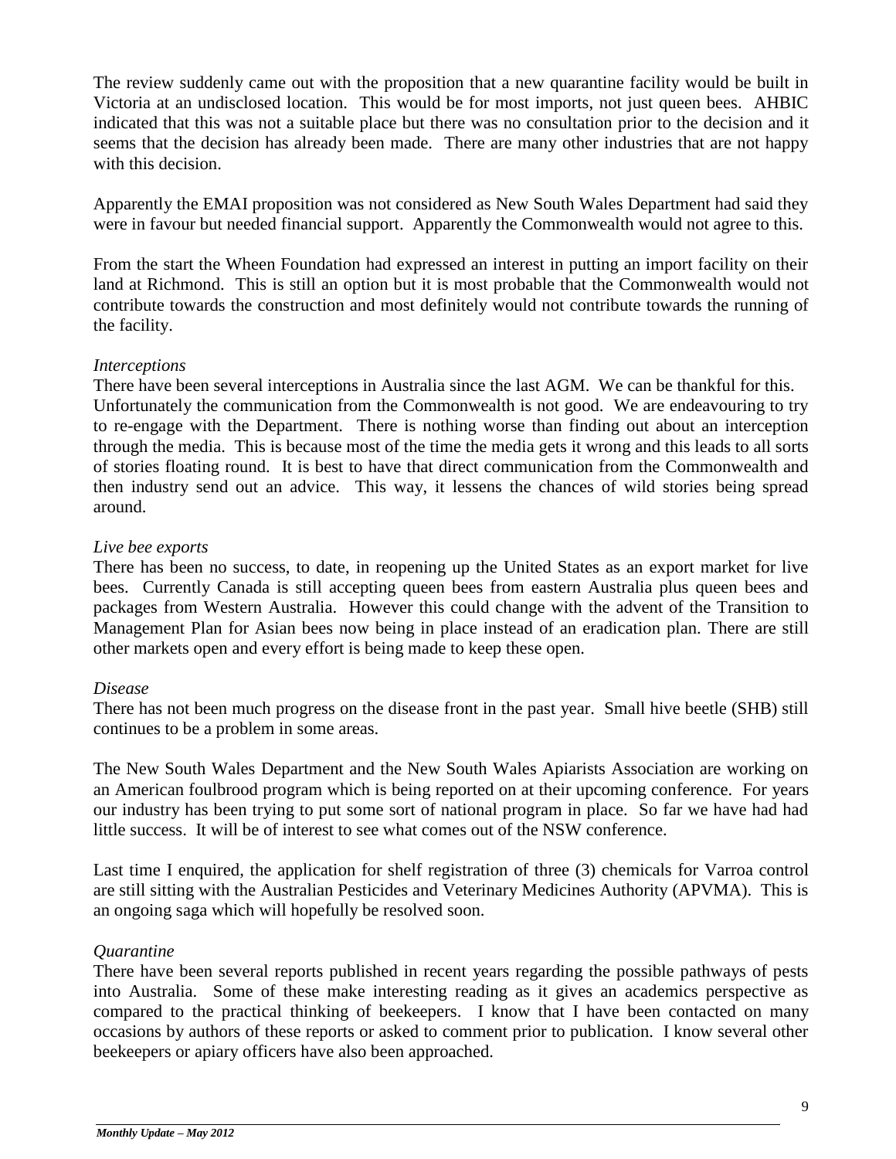The review suddenly came out with the proposition that a new quarantine facility would be built in Victoria at an undisclosed location. This would be for most imports, not just queen bees. AHBIC indicated that this was not a suitable place but there was no consultation prior to the decision and it seems that the decision has already been made. There are many other industries that are not happy with this decision.

Apparently the EMAI proposition was not considered as New South Wales Department had said they were in favour but needed financial support. Apparently the Commonwealth would not agree to this.

From the start the Wheen Foundation had expressed an interest in putting an import facility on their land at Richmond. This is still an option but it is most probable that the Commonwealth would not contribute towards the construction and most definitely would not contribute towards the running of the facility.

#### *Interceptions*

There have been several interceptions in Australia since the last AGM. We can be thankful for this. Unfortunately the communication from the Commonwealth is not good. We are endeavouring to try to re-engage with the Department. There is nothing worse than finding out about an interception through the media. This is because most of the time the media gets it wrong and this leads to all sorts of stories floating round. It is best to have that direct communication from the Commonwealth and then industry send out an advice. This way, it lessens the chances of wild stories being spread around.

#### *Live bee exports*

There has been no success, to date, in reopening up the United States as an export market for live bees. Currently Canada is still accepting queen bees from eastern Australia plus queen bees and packages from Western Australia. However this could change with the advent of the Transition to Management Plan for Asian bees now being in place instead of an eradication plan. There are still other markets open and every effort is being made to keep these open.

#### *Disease*

There has not been much progress on the disease front in the past year. Small hive beetle (SHB) still continues to be a problem in some areas.

The New South Wales Department and the New South Wales Apiarists Association are working on an American foulbrood program which is being reported on at their upcoming conference. For years our industry has been trying to put some sort of national program in place. So far we have had had little success. It will be of interest to see what comes out of the NSW conference.

Last time I enquired, the application for shelf registration of three (3) chemicals for Varroa control are still sitting with the Australian Pesticides and Veterinary Medicines Authority (APVMA). This is an ongoing saga which will hopefully be resolved soon.

#### *Quarantine*

There have been several reports published in recent years regarding the possible pathways of pests into Australia. Some of these make interesting reading as it gives an academics perspective as compared to the practical thinking of beekeepers. I know that I have been contacted on many occasions by authors of these reports or asked to comment prior to publication. I know several other beekeepers or apiary officers have also been approached.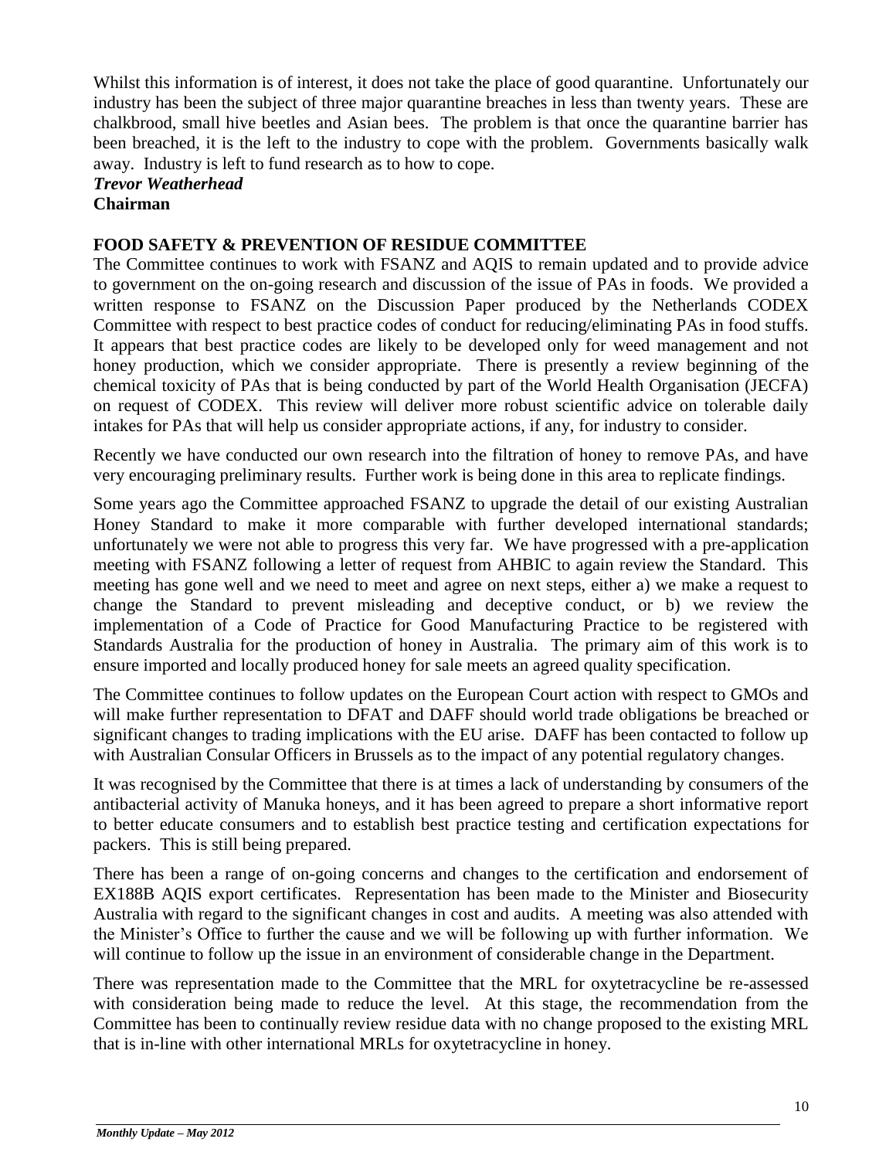Whilst this information is of interest, it does not take the place of good quarantine. Unfortunately our industry has been the subject of three major quarantine breaches in less than twenty years. These are chalkbrood, small hive beetles and Asian bees. The problem is that once the quarantine barrier has been breached, it is the left to the industry to cope with the problem. Governments basically walk away. Industry is left to fund research as to how to cope.

#### *Trevor Weatherhead*  **Chairman**

#### **FOOD SAFETY & PREVENTION OF RESIDUE COMMITTEE**

The Committee continues to work with FSANZ and AQIS to remain updated and to provide advice to government on the on-going research and discussion of the issue of PAs in foods. We provided a written response to FSANZ on the Discussion Paper produced by the Netherlands CODEX Committee with respect to best practice codes of conduct for reducing/eliminating PAs in food stuffs. It appears that best practice codes are likely to be developed only for weed management and not honey production, which we consider appropriate. There is presently a review beginning of the chemical toxicity of PAs that is being conducted by part of the World Health Organisation (JECFA) on request of CODEX. This review will deliver more robust scientific advice on tolerable daily intakes for PAs that will help us consider appropriate actions, if any, for industry to consider.

Recently we have conducted our own research into the filtration of honey to remove PAs, and have very encouraging preliminary results. Further work is being done in this area to replicate findings.

Some years ago the Committee approached FSANZ to upgrade the detail of our existing Australian Honey Standard to make it more comparable with further developed international standards; unfortunately we were not able to progress this very far. We have progressed with a pre-application meeting with FSANZ following a letter of request from AHBIC to again review the Standard. This meeting has gone well and we need to meet and agree on next steps, either a) we make a request to change the Standard to prevent misleading and deceptive conduct, or b) we review the implementation of a Code of Practice for Good Manufacturing Practice to be registered with Standards Australia for the production of honey in Australia. The primary aim of this work is to ensure imported and locally produced honey for sale meets an agreed quality specification.

The Committee continues to follow updates on the European Court action with respect to GMOs and will make further representation to DFAT and DAFF should world trade obligations be breached or significant changes to trading implications with the EU arise. DAFF has been contacted to follow up with Australian Consular Officers in Brussels as to the impact of any potential regulatory changes.

It was recognised by the Committee that there is at times a lack of understanding by consumers of the antibacterial activity of Manuka honeys, and it has been agreed to prepare a short informative report to better educate consumers and to establish best practice testing and certification expectations for packers. This is still being prepared.

There has been a range of on-going concerns and changes to the certification and endorsement of EX188B AQIS export certificates. Representation has been made to the Minister and Biosecurity Australia with regard to the significant changes in cost and audits. A meeting was also attended with the Minister's Office to further the cause and we will be following up with further information. We will continue to follow up the issue in an environment of considerable change in the Department.

There was representation made to the Committee that the MRL for oxytetracycline be re-assessed with consideration being made to reduce the level. At this stage, the recommendation from the Committee has been to continually review residue data with no change proposed to the existing MRL that is in-line with other international MRLs for oxytetracycline in honey.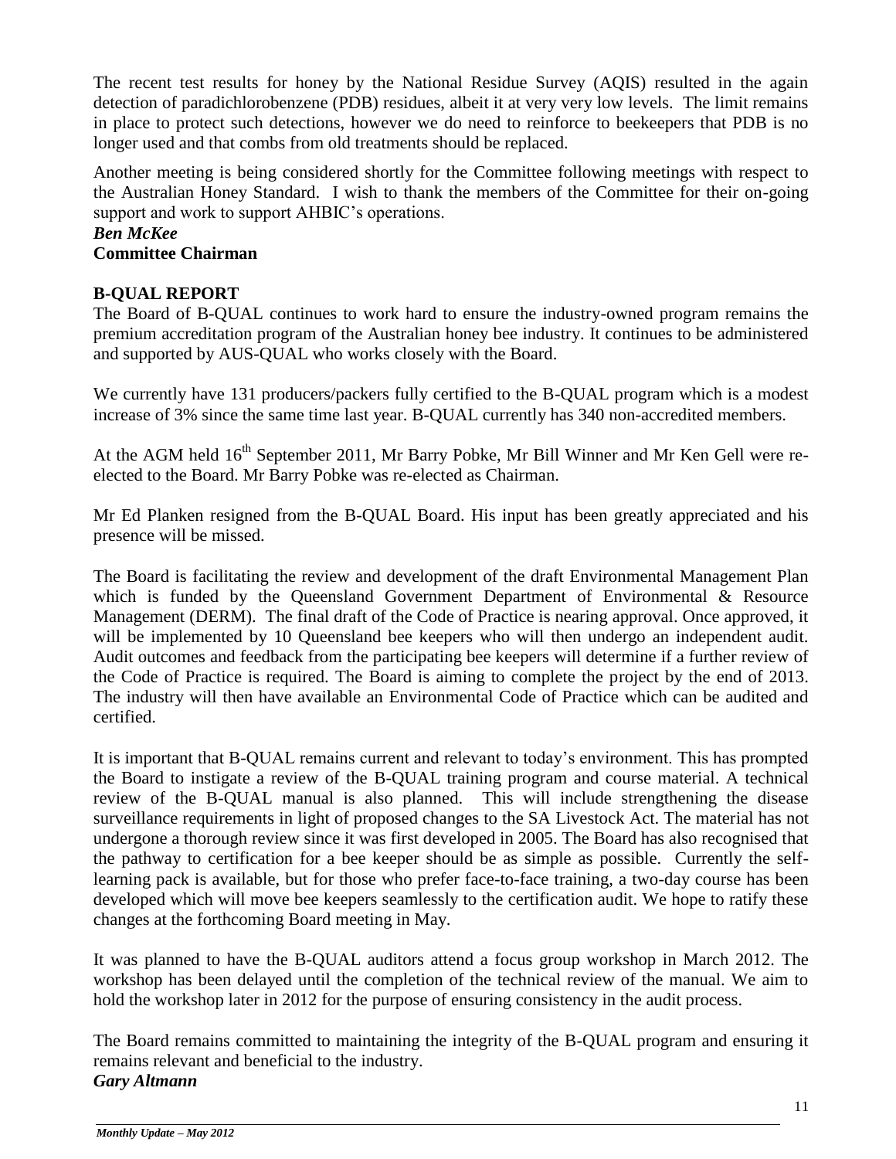The recent test results for honey by the National Residue Survey (AQIS) resulted in the again detection of paradichlorobenzene (PDB) residues, albeit it at very very low levels. The limit remains in place to protect such detections, however we do need to reinforce to beekeepers that PDB is no longer used and that combs from old treatments should be replaced.

Another meeting is being considered shortly for the Committee following meetings with respect to the Australian Honey Standard. I wish to thank the members of the Committee for their on-going support and work to support AHBIC's operations.

# *Ben McKee*

# **Committee Chairman**

# **B-QUAL REPORT**

The Board of B-QUAL continues to work hard to ensure the industry-owned program remains the premium accreditation program of the Australian honey bee industry. It continues to be administered and supported by AUS-QUAL who works closely with the Board.

We currently have 131 producers/packers fully certified to the B-QUAL program which is a modest increase of 3% since the same time last year. B-QUAL currently has 340 non-accredited members.

At the AGM held  $16<sup>th</sup>$  September 2011, Mr Barry Pobke, Mr Bill Winner and Mr Ken Gell were reelected to the Board. Mr Barry Pobke was re-elected as Chairman.

Mr Ed Planken resigned from the B-QUAL Board. His input has been greatly appreciated and his presence will be missed.

The Board is facilitating the review and development of the draft Environmental Management Plan which is funded by the Queensland Government Department of Environmental & Resource Management (DERM). The final draft of the Code of Practice is nearing approval. Once approved, it will be implemented by 10 Queensland bee keepers who will then undergo an independent audit. Audit outcomes and feedback from the participating bee keepers will determine if a further review of the Code of Practice is required. The Board is aiming to complete the project by the end of 2013. The industry will then have available an Environmental Code of Practice which can be audited and certified.

It is important that B-QUAL remains current and relevant to today's environment. This has prompted the Board to instigate a review of the B-QUAL training program and course material. A technical review of the B-QUAL manual is also planned. This will include strengthening the disease surveillance requirements in light of proposed changes to the SA Livestock Act. The material has not undergone a thorough review since it was first developed in 2005. The Board has also recognised that the pathway to certification for a bee keeper should be as simple as possible. Currently the selflearning pack is available, but for those who prefer face-to-face training, a two-day course has been developed which will move bee keepers seamlessly to the certification audit. We hope to ratify these changes at the forthcoming Board meeting in May.

It was planned to have the B-QUAL auditors attend a focus group workshop in March 2012. The workshop has been delayed until the completion of the technical review of the manual. We aim to hold the workshop later in 2012 for the purpose of ensuring consistency in the audit process.

The Board remains committed to maintaining the integrity of the B-QUAL program and ensuring it remains relevant and beneficial to the industry. *Gary Altmann*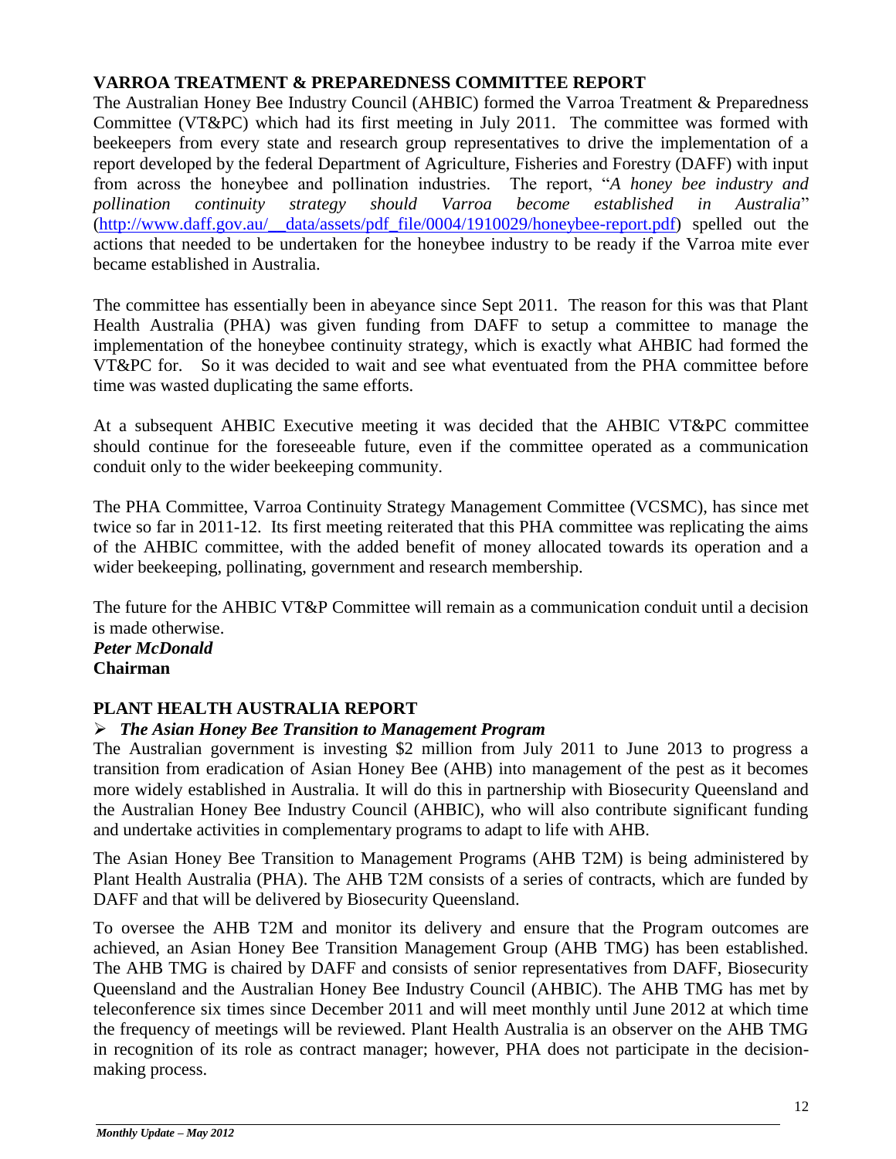## **VARROA TREATMENT & PREPAREDNESS COMMITTEE REPORT**

The Australian Honey Bee Industry Council (AHBIC) formed the Varroa Treatment & Preparedness Committee (VT&PC) which had its first meeting in July 2011. The committee was formed with beekeepers from every state and research group representatives to drive the implementation of a report developed by the federal Department of Agriculture, Fisheries and Forestry (DAFF) with input from across the honeybee and pollination industries. The report, "*A honey bee industry and pollination continuity strategy should Varroa become established in Australia*" (http://www.daff.gov.au/\_data/assets/pdf\_file/0004/1910029/honeybee-report.pdf) spelled out the actions that needed to be undertaken for the honeybee industry to be ready if the Varroa mite ever became established in Australia.

The committee has essentially been in abeyance since Sept 2011. The reason for this was that Plant Health Australia (PHA) was given funding from DAFF to setup a committee to manage the implementation of the honeybee continuity strategy, which is exactly what AHBIC had formed the VT&PC for. So it was decided to wait and see what eventuated from the PHA committee before time was wasted duplicating the same efforts.

At a subsequent AHBIC Executive meeting it was decided that the AHBIC VT&PC committee should continue for the foreseeable future, even if the committee operated as a communication conduit only to the wider beekeeping community.

The PHA Committee, Varroa Continuity Strategy Management Committee (VCSMC), has since met twice so far in 2011-12. Its first meeting reiterated that this PHA committee was replicating the aims of the AHBIC committee, with the added benefit of money allocated towards its operation and a wider beekeeping, pollinating, government and research membership.

The future for the AHBIC VT&P Committee will remain as a communication conduit until a decision is made otherwise.

*Peter McDonald* **Chairman**

# **PLANT HEALTH AUSTRALIA REPORT**

# *The Asian Honey Bee Transition to Management Program*

The Australian government is investing \$2 million from July 2011 to June 2013 to progress a transition from eradication of Asian Honey Bee (AHB) into management of the pest as it becomes more widely established in Australia. It will do this in partnership with Biosecurity Queensland and the Australian Honey Bee Industry Council (AHBIC), who will also contribute significant funding and undertake activities in complementary programs to adapt to life with AHB.

The Asian Honey Bee Transition to Management Programs (AHB T2M) is being administered by Plant Health Australia (PHA). The AHB T2M consists of a series of contracts, which are funded by DAFF and that will be delivered by Biosecurity Queensland.

To oversee the AHB T2M and monitor its delivery and ensure that the Program outcomes are achieved, an Asian Honey Bee Transition Management Group (AHB TMG) has been established. The AHB TMG is chaired by DAFF and consists of senior representatives from DAFF, Biosecurity Queensland and the Australian Honey Bee Industry Council (AHBIC). The AHB TMG has met by teleconference six times since December 2011 and will meet monthly until June 2012 at which time the frequency of meetings will be reviewed. Plant Health Australia is an observer on the AHB TMG in recognition of its role as contract manager; however, PHA does not participate in the decisionmaking process.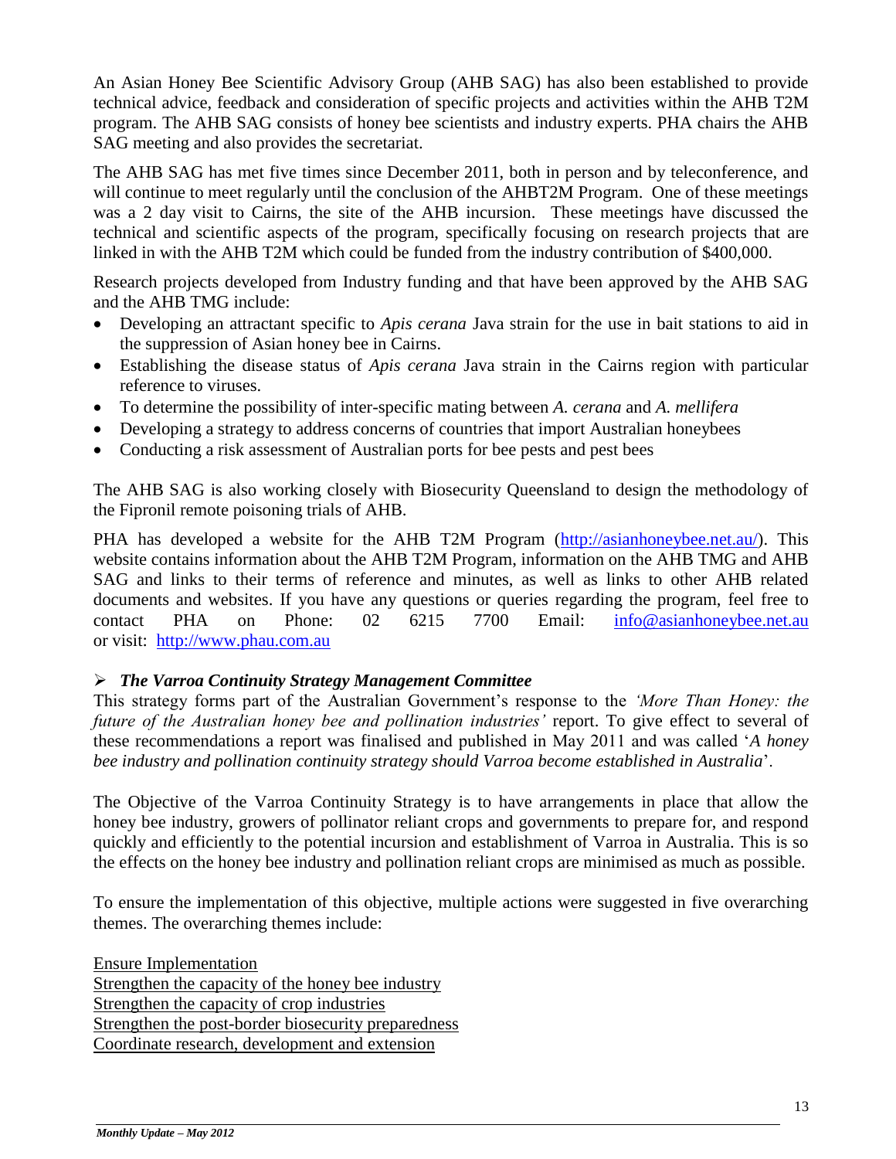An Asian Honey Bee Scientific Advisory Group (AHB SAG) has also been established to provide technical advice, feedback and consideration of specific projects and activities within the AHB T2M program. The AHB SAG consists of honey bee scientists and industry experts. PHA chairs the AHB SAG meeting and also provides the secretariat.

The AHB SAG has met five times since December 2011, both in person and by teleconference, and will continue to meet regularly until the conclusion of the AHBT2M Program. One of these meetings was a 2 day visit to Cairns, the site of the AHB incursion. These meetings have discussed the technical and scientific aspects of the program, specifically focusing on research projects that are linked in with the AHB T2M which could be funded from the industry contribution of \$400,000.

Research projects developed from Industry funding and that have been approved by the AHB SAG and the AHB TMG include:

- Developing an attractant specific to *Apis cerana* Java strain for the use in bait stations to aid in the suppression of Asian honey bee in Cairns.
- Establishing the disease status of *Apis cerana* Java strain in the Cairns region with particular reference to viruses.
- To determine the possibility of inter-specific mating between *A. cerana* and *A. mellifera*
- Developing a strategy to address concerns of countries that import Australian honeybees
- Conducting a risk assessment of Australian ports for bee pests and pest bees

The AHB SAG is also working closely with Biosecurity Queensland to design the methodology of the Fipronil remote poisoning trials of AHB.

PHA has developed a website for the AHB T2M Program [\(http://asianhoneybee.net.au/\)](http://asianhoneybee.net.au/). This website contains information about the AHB T2M Program, information on the AHB TMG and AHB SAG and links to their terms of reference and minutes, as well as links to other AHB related documents and websites. If you have any questions or queries regarding the program, feel free to contact PHA on Phone: 02 6215 7700 Email: [info@asianhoneybee.net.au](mailto:info@asianhoneybee.net.au) or visit: [http://www.phau.com.au](http://www.phau.com.au/)

#### *The Varroa Continuity Strategy Management Committee*

This strategy forms part of the Australian Government's response to the *'More Than Honey: the*  future of the Australian honey bee and pollination industries' report. To give effect to several of these recommendations a report was finalised and published in May 2011 and was called '*A honey bee industry and pollination continuity strategy should Varroa become established in Australia*'.

The Objective of the Varroa Continuity Strategy is to have arrangements in place that allow the honey bee industry, growers of pollinator reliant crops and governments to prepare for, and respond quickly and efficiently to the potential incursion and establishment of Varroa in Australia. This is so the effects on the honey bee industry and pollination reliant crops are minimised as much as possible.

To ensure the implementation of this objective, multiple actions were suggested in five overarching themes. The overarching themes include:

Ensure Implementation Strengthen the capacity of the honey bee industry Strengthen the capacity of crop industries Strengthen the post-border biosecurity preparedness Coordinate research, development and extension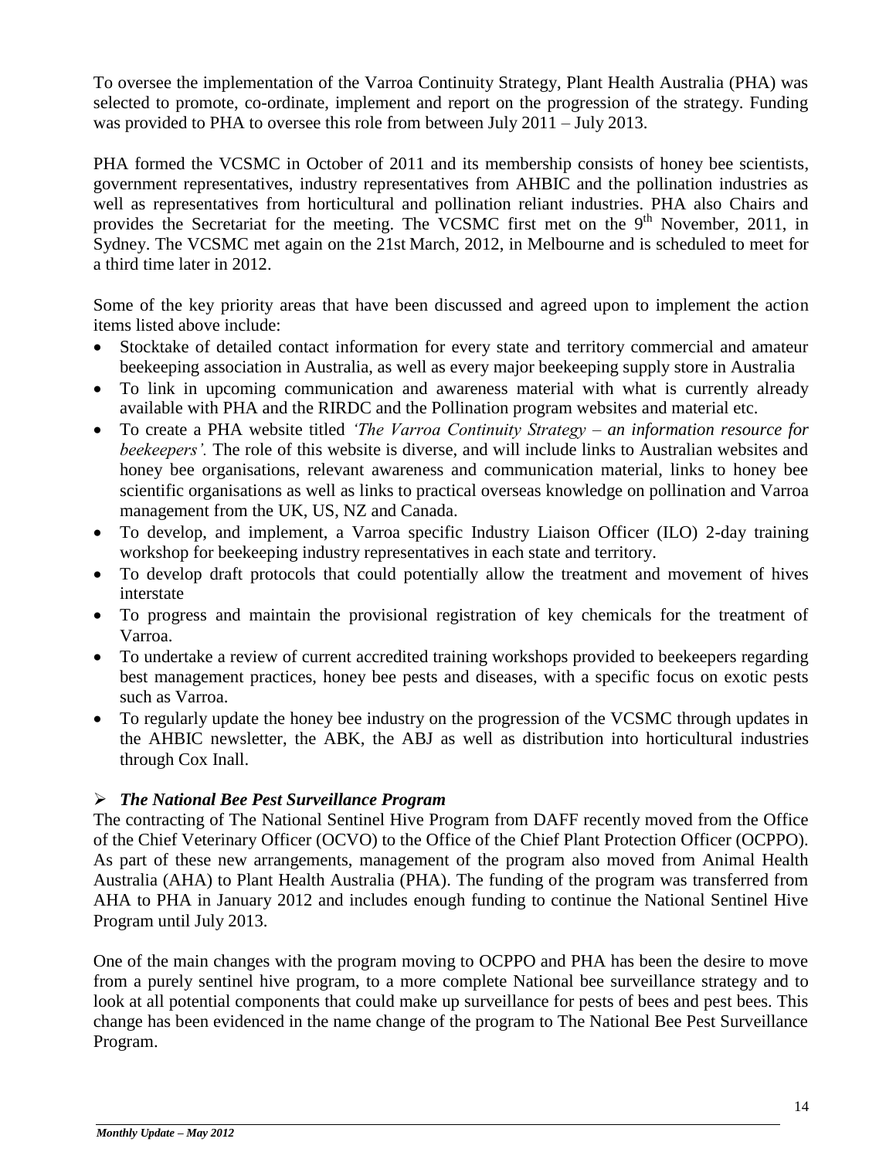To oversee the implementation of the Varroa Continuity Strategy, Plant Health Australia (PHA) was selected to promote, co-ordinate, implement and report on the progression of the strategy. Funding was provided to PHA to oversee this role from between July 2011 – July 2013.

PHA formed the VCSMC in October of 2011 and its membership consists of honey bee scientists, government representatives, industry representatives from AHBIC and the pollination industries as well as representatives from horticultural and pollination reliant industries. PHA also Chairs and provides the Secretariat for the meeting. The VCSMC first met on the 9<sup>th</sup> November, 2011, in Sydney. The VCSMC met again on the 21st March, 2012, in Melbourne and is scheduled to meet for a third time later in 2012.

Some of the key priority areas that have been discussed and agreed upon to implement the action items listed above include:

- Stocktake of detailed contact information for every state and territory commercial and amateur beekeeping association in Australia, as well as every major beekeeping supply store in Australia
- To link in upcoming communication and awareness material with what is currently already available with PHA and the RIRDC and the Pollination program websites and material etc.
- To create a PHA website titled *'The Varroa Continuity Strategy – an information resource for beekeepers'.* The role of this website is diverse, and will include links to Australian websites and honey bee organisations, relevant awareness and communication material, links to honey bee scientific organisations as well as links to practical overseas knowledge on pollination and Varroa management from the UK, US, NZ and Canada.
- To develop, and implement, a Varroa specific Industry Liaison Officer (ILO) 2-day training workshop for beekeeping industry representatives in each state and territory.
- To develop draft protocols that could potentially allow the treatment and movement of hives interstate
- To progress and maintain the provisional registration of key chemicals for the treatment of Varroa.
- To undertake a review of current accredited training workshops provided to beekeepers regarding best management practices, honey bee pests and diseases, with a specific focus on exotic pests such as Varroa.
- To regularly update the honey bee industry on the progression of the VCSMC through updates in the AHBIC newsletter, the ABK, the ABJ as well as distribution into horticultural industries through Cox Inall.

# *The National Bee Pest Surveillance Program*

The contracting of The National Sentinel Hive Program from DAFF recently moved from the Office of the Chief Veterinary Officer (OCVO) to the Office of the Chief Plant Protection Officer (OCPPO). As part of these new arrangements, management of the program also moved from Animal Health Australia (AHA) to Plant Health Australia (PHA). The funding of the program was transferred from AHA to PHA in January 2012 and includes enough funding to continue the National Sentinel Hive Program until July 2013.

One of the main changes with the program moving to OCPPO and PHA has been the desire to move from a purely sentinel hive program, to a more complete National bee surveillance strategy and to look at all potential components that could make up surveillance for pests of bees and pest bees. This change has been evidenced in the name change of the program to The National Bee Pest Surveillance Program.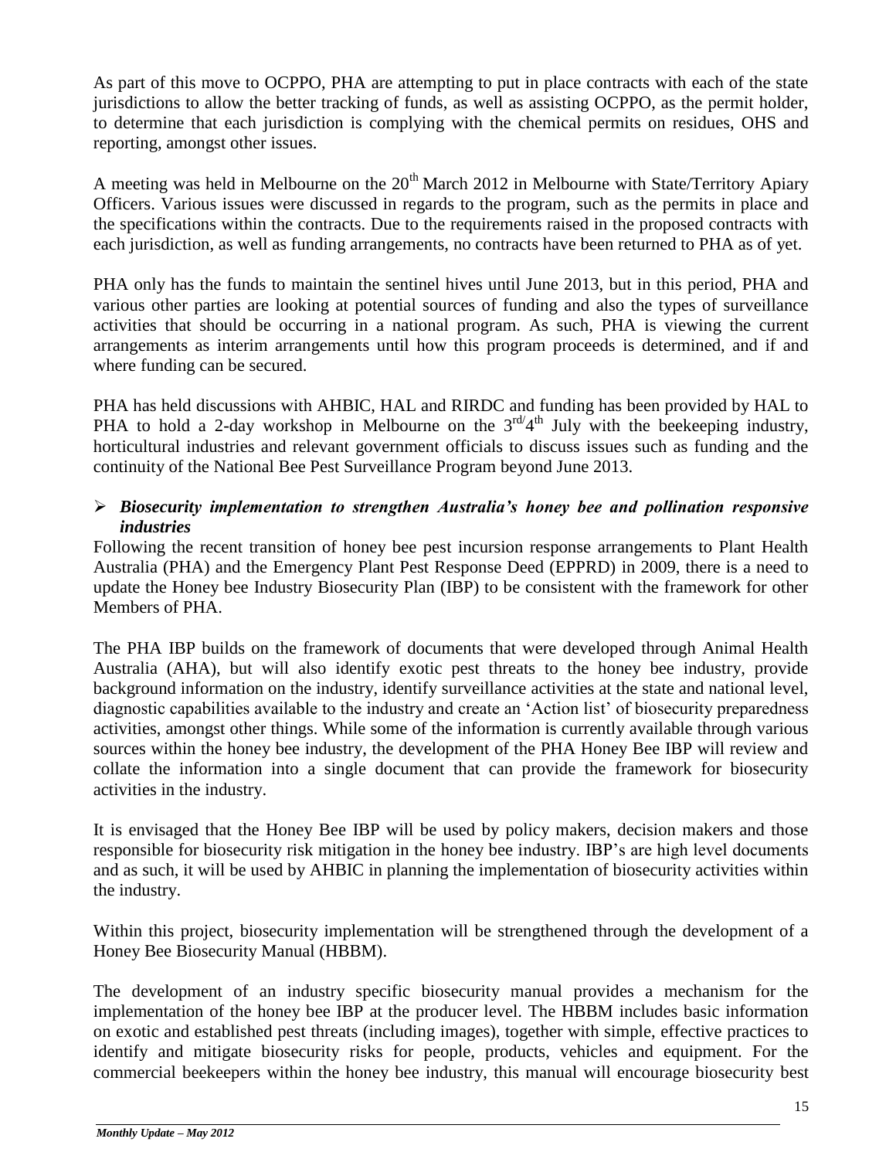As part of this move to OCPPO, PHA are attempting to put in place contracts with each of the state jurisdictions to allow the better tracking of funds, as well as assisting OCPPO, as the permit holder, to determine that each jurisdiction is complying with the chemical permits on residues, OHS and reporting, amongst other issues.

A meeting was held in Melbourne on the  $20<sup>th</sup>$  March 2012 in Melbourne with State/Territory Apiary Officers. Various issues were discussed in regards to the program, such as the permits in place and the specifications within the contracts. Due to the requirements raised in the proposed contracts with each jurisdiction, as well as funding arrangements, no contracts have been returned to PHA as of yet.

PHA only has the funds to maintain the sentinel hives until June 2013, but in this period, PHA and various other parties are looking at potential sources of funding and also the types of surveillance activities that should be occurring in a national program. As such, PHA is viewing the current arrangements as interim arrangements until how this program proceeds is determined, and if and where funding can be secured.

PHA has held discussions with AHBIC, HAL and RIRDC and funding has been provided by HAL to PHA to hold a 2-day workshop in Melbourne on the  $3^{rd}/4^{th}$  July with the beekeeping industry, horticultural industries and relevant government officials to discuss issues such as funding and the continuity of the National Bee Pest Surveillance Program beyond June 2013.

## *Biosecurity implementation to strengthen Australia's honey bee and pollination responsive industries*

Following the recent transition of honey bee pest incursion response arrangements to Plant Health Australia (PHA) and the Emergency Plant Pest Response Deed (EPPRD) in 2009, there is a need to update the Honey bee Industry Biosecurity Plan (IBP) to be consistent with the framework for other Members of PHA.

The PHA IBP builds on the framework of documents that were developed through Animal Health Australia (AHA), but will also identify exotic pest threats to the honey bee industry, provide background information on the industry, identify surveillance activities at the state and national level, diagnostic capabilities available to the industry and create an 'Action list' of biosecurity preparedness activities, amongst other things. While some of the information is currently available through various sources within the honey bee industry, the development of the PHA Honey Bee IBP will review and collate the information into a single document that can provide the framework for biosecurity activities in the industry.

It is envisaged that the Honey Bee IBP will be used by policy makers, decision makers and those responsible for biosecurity risk mitigation in the honey bee industry. IBP's are high level documents and as such, it will be used by AHBIC in planning the implementation of biosecurity activities within the industry.

Within this project, biosecurity implementation will be strengthened through the development of a Honey Bee Biosecurity Manual (HBBM).

The development of an industry specific biosecurity manual provides a mechanism for the implementation of the honey bee IBP at the producer level. The HBBM includes basic information on exotic and established pest threats (including images), together with simple, effective practices to identify and mitigate biosecurity risks for people, products, vehicles and equipment. For the commercial beekeepers within the honey bee industry, this manual will encourage biosecurity best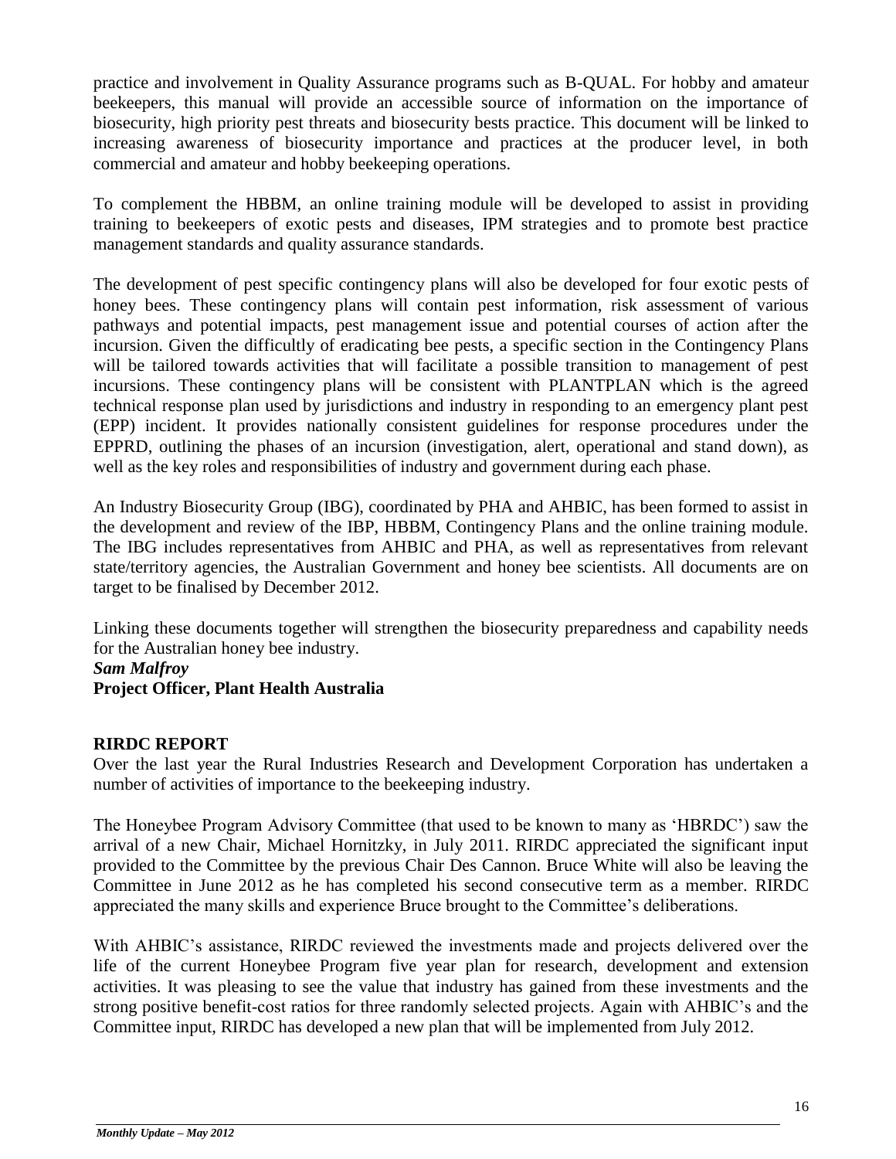practice and involvement in Quality Assurance programs such as B-QUAL. For hobby and amateur beekeepers, this manual will provide an accessible source of information on the importance of biosecurity, high priority pest threats and biosecurity bests practice. This document will be linked to increasing awareness of biosecurity importance and practices at the producer level, in both commercial and amateur and hobby beekeeping operations.

To complement the HBBM, an online training module will be developed to assist in providing training to beekeepers of exotic pests and diseases, IPM strategies and to promote best practice management standards and quality assurance standards.

The development of pest specific contingency plans will also be developed for four exotic pests of honey bees. These contingency plans will contain pest information, risk assessment of various pathways and potential impacts, pest management issue and potential courses of action after the incursion. Given the difficultly of eradicating bee pests, a specific section in the Contingency Plans will be tailored towards activities that will facilitate a possible transition to management of pest incursions. These contingency plans will be consistent with PLANTPLAN which is the agreed technical response plan used by jurisdictions and industry in responding to an emergency plant pest (EPP) incident. It provides nationally consistent guidelines for response procedures under the EPPRD, outlining the phases of an incursion (investigation, alert, operational and stand down), as well as the key roles and responsibilities of industry and government during each phase.

An Industry Biosecurity Group (IBG), coordinated by PHA and AHBIC, has been formed to assist in the development and review of the IBP, HBBM, Contingency Plans and the online training module. The IBG includes representatives from AHBIC and PHA, as well as representatives from relevant state/territory agencies, the Australian Government and honey bee scientists. All documents are on target to be finalised by December 2012.

Linking these documents together will strengthen the biosecurity preparedness and capability needs for the Australian honey bee industry.

#### *Sam Malfroy*

#### **Project Officer, Plant Health Australia**

#### **RIRDC REPORT**

Over the last year the Rural Industries Research and Development Corporation has undertaken a number of activities of importance to the beekeeping industry.

The Honeybee Program Advisory Committee (that used to be known to many as 'HBRDC') saw the arrival of a new Chair, Michael Hornitzky, in July 2011. RIRDC appreciated the significant input provided to the Committee by the previous Chair Des Cannon. Bruce White will also be leaving the Committee in June 2012 as he has completed his second consecutive term as a member. RIRDC appreciated the many skills and experience Bruce brought to the Committee's deliberations.

With AHBIC's assistance, RIRDC reviewed the investments made and projects delivered over the life of the current Honeybee Program five year plan for research, development and extension activities. It was pleasing to see the value that industry has gained from these investments and the strong positive benefit-cost ratios for three randomly selected projects. Again with AHBIC's and the Committee input, RIRDC has developed a new plan that will be implemented from July 2012.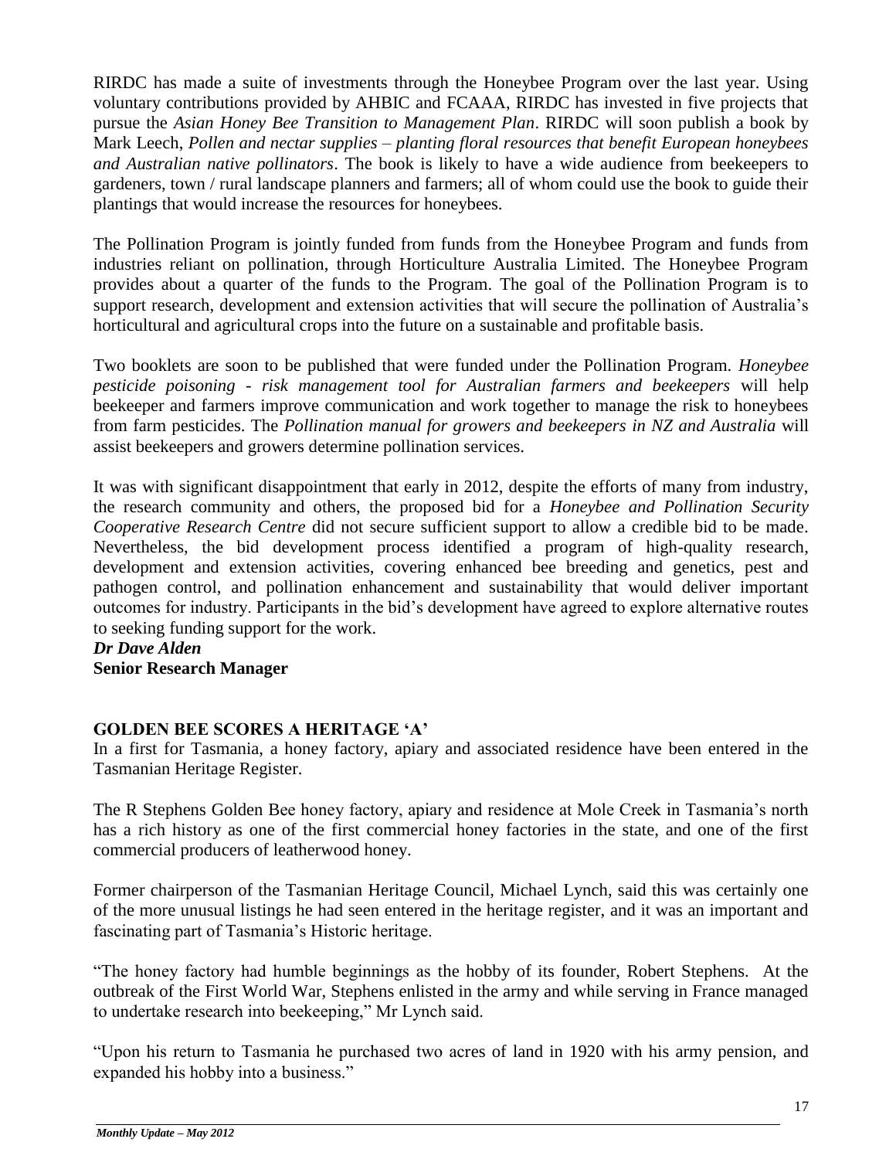RIRDC has made a suite of investments through the Honeybee Program over the last year. Using voluntary contributions provided by AHBIC and FCAAA, RIRDC has invested in five projects that pursue the *Asian Honey Bee Transition to Management Plan*. RIRDC will soon publish a book by Mark Leech, *Pollen and nectar supplies – planting floral resources that benefit European honeybees and Australian native pollinators*. The book is likely to have a wide audience from beekeepers to gardeners, town / rural landscape planners and farmers; all of whom could use the book to guide their plantings that would increase the resources for honeybees.

The Pollination Program is jointly funded from funds from the Honeybee Program and funds from industries reliant on pollination, through Horticulture Australia Limited. The Honeybee Program provides about a quarter of the funds to the Program. The goal of the Pollination Program is to support research, development and extension activities that will secure the pollination of Australia's horticultural and agricultural crops into the future on a sustainable and profitable basis.

Two booklets are soon to be published that were funded under the Pollination Program. *Honeybee pesticide poisoning - risk management tool for Australian farmers and beekeepers* will help beekeeper and farmers improve communication and work together to manage the risk to honeybees from farm pesticides. The *Pollination manual for growers and beekeepers in NZ and Australia* will assist beekeepers and growers determine pollination services.

It was with significant disappointment that early in 2012, despite the efforts of many from industry, the research community and others, the proposed bid for a *Honeybee and Pollination Security Cooperative Research Centre* did not secure sufficient support to allow a credible bid to be made. Nevertheless, the bid development process identified a program of high-quality research, development and extension activities, covering enhanced bee breeding and genetics, pest and pathogen control, and pollination enhancement and sustainability that would deliver important outcomes for industry. Participants in the bid's development have agreed to explore alternative routes to seeking funding support for the work.

*Dr Dave Alden* **Senior Research Manager**

#### **GOLDEN BEE SCORES A HERITAGE 'A'**

In a first for Tasmania, a honey factory, apiary and associated residence have been entered in the Tasmanian Heritage Register.

The R Stephens Golden Bee honey factory, apiary and residence at Mole Creek in Tasmania's north has a rich history as one of the first commercial honey factories in the state, and one of the first commercial producers of leatherwood honey.

Former chairperson of the Tasmanian Heritage Council, Michael Lynch, said this was certainly one of the more unusual listings he had seen entered in the heritage register, and it was an important and fascinating part of Tasmania's Historic heritage.

"The honey factory had humble beginnings as the hobby of its founder, Robert Stephens. At the outbreak of the First World War, Stephens enlisted in the army and while serving in France managed to undertake research into beekeeping," Mr Lynch said.

"Upon his return to Tasmania he purchased two acres of land in 1920 with his army pension, and expanded his hobby into a business."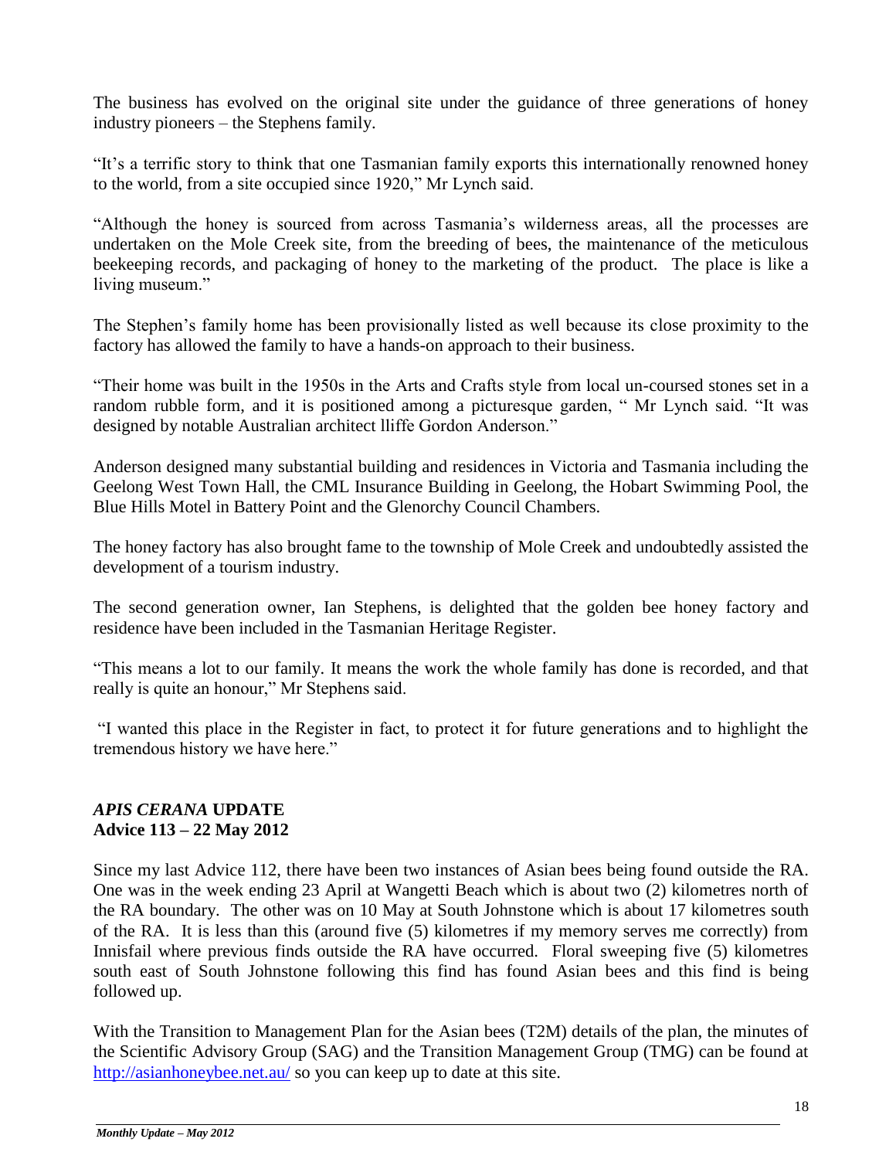The business has evolved on the original site under the guidance of three generations of honey industry pioneers – the Stephens family.

"It's a terrific story to think that one Tasmanian family exports this internationally renowned honey to the world, from a site occupied since 1920," Mr Lynch said.

"Although the honey is sourced from across Tasmania's wilderness areas, all the processes are undertaken on the Mole Creek site, from the breeding of bees, the maintenance of the meticulous beekeeping records, and packaging of honey to the marketing of the product. The place is like a living museum."

The Stephen's family home has been provisionally listed as well because its close proximity to the factory has allowed the family to have a hands-on approach to their business.

"Their home was built in the 1950s in the Arts and Crafts style from local un-coursed stones set in a random rubble form, and it is positioned among a picturesque garden, " Mr Lynch said. "It was designed by notable Australian architect lliffe Gordon Anderson."

Anderson designed many substantial building and residences in Victoria and Tasmania including the Geelong West Town Hall, the CML Insurance Building in Geelong, the Hobart Swimming Pool, the Blue Hills Motel in Battery Point and the Glenorchy Council Chambers.

The honey factory has also brought fame to the township of Mole Creek and undoubtedly assisted the development of a tourism industry.

The second generation owner, Ian Stephens, is delighted that the golden bee honey factory and residence have been included in the Tasmanian Heritage Register.

"This means a lot to our family. It means the work the whole family has done is recorded, and that really is quite an honour," Mr Stephens said.

"I wanted this place in the Register in fact, to protect it for future generations and to highlight the tremendous history we have here."

# *APIS CERANA* **UPDATE Advice 113 – 22 May 2012**

Since my last Advice 112, there have been two instances of Asian bees being found outside the RA. One was in the week ending 23 April at Wangetti Beach which is about two (2) kilometres north of the RA boundary. The other was on 10 May at South Johnstone which is about 17 kilometres south of the RA. It is less than this (around five (5) kilometres if my memory serves me correctly) from Innisfail where previous finds outside the RA have occurred. Floral sweeping five (5) kilometres south east of South Johnstone following this find has found Asian bees and this find is being followed up.

With the Transition to Management Plan for the Asian bees (T2M) details of the plan, the minutes of the Scientific Advisory Group (SAG) and the Transition Management Group (TMG) can be found at <http://asianhoneybee.net.au/> so you can keep up to date at this site.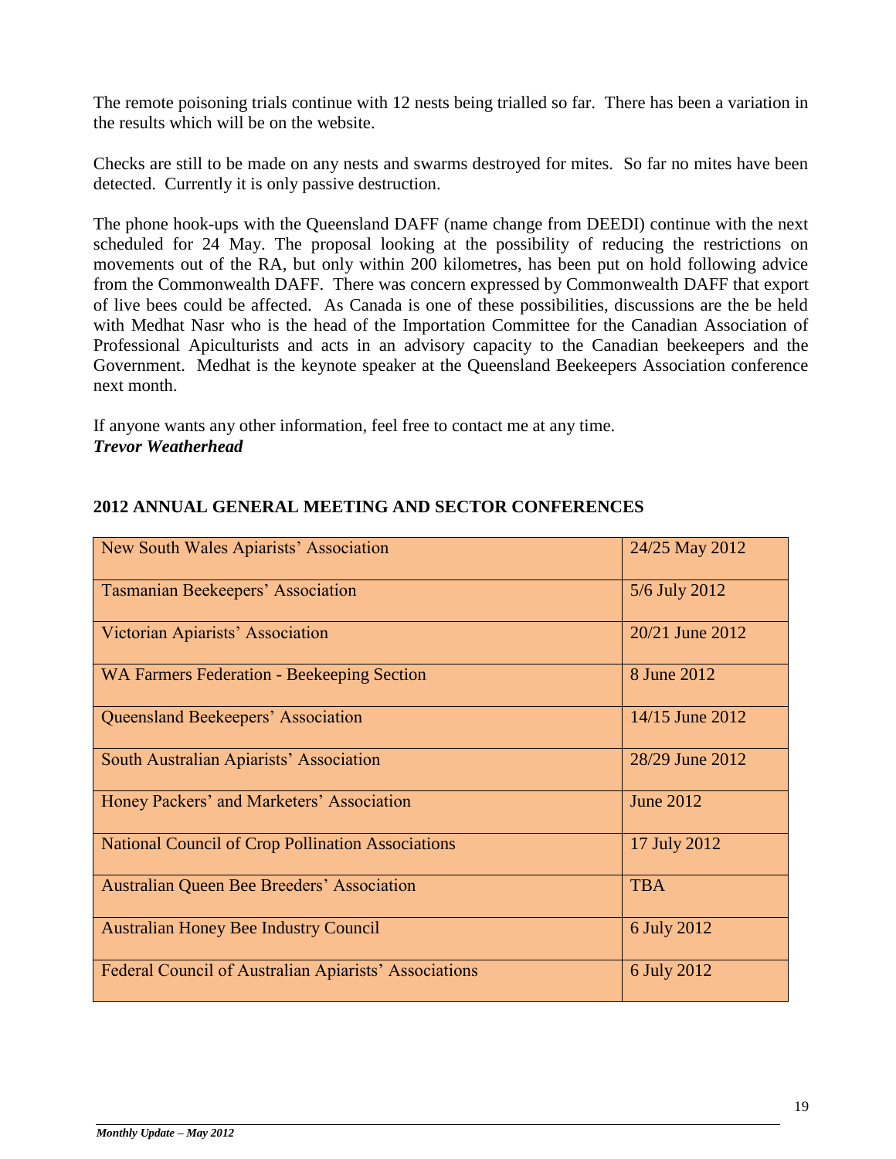The remote poisoning trials continue with 12 nests being trialled so far. There has been a variation in the results which will be on the website.

Checks are still to be made on any nests and swarms destroyed for mites. So far no mites have been detected. Currently it is only passive destruction.

The phone hook-ups with the Queensland DAFF (name change from DEEDI) continue with the next scheduled for 24 May. The proposal looking at the possibility of reducing the restrictions on movements out of the RA, but only within 200 kilometres, has been put on hold following advice from the Commonwealth DAFF. There was concern expressed by Commonwealth DAFF that export of live bees could be affected. As Canada is one of these possibilities, discussions are the be held with Medhat Nasr who is the head of the Importation Committee for the Canadian Association of Professional Apiculturists and acts in an advisory capacity to the Canadian beekeepers and the Government. Medhat is the keynote speaker at the Queensland Beekeepers Association conference next month.

If anyone wants any other information, feel free to contact me at any time. *Trevor Weatherhead* 

| New South Wales Apiarists' Association                   | 24/25 May 2012   |
|----------------------------------------------------------|------------------|
| <b>Tasmanian Beekeepers' Association</b>                 | 5/6 July 2012    |
| Victorian Apiarists' Association                         | 20/21 June 2012  |
| <b>WA Farmers Federation - Beekeeping Section</b>        | 8 June 2012      |
| <b>Queensland Beekeepers' Association</b>                | 14/15 June 2012  |
| South Australian Apiarists' Association                  | 28/29 June 2012  |
| Honey Packers' and Marketers' Association                | <b>June 2012</b> |
| <b>National Council of Crop Pollination Associations</b> | 17 July 2012     |
| <b>Australian Queen Bee Breeders' Association</b>        | <b>TBA</b>       |
| <b>Australian Honey Bee Industry Council</b>             | 6 July 2012      |
| Federal Council of Australian Apiarists' Associations    | 6 July 2012      |

# **2012 ANNUAL GENERAL MEETING AND SECTOR CONFERENCES**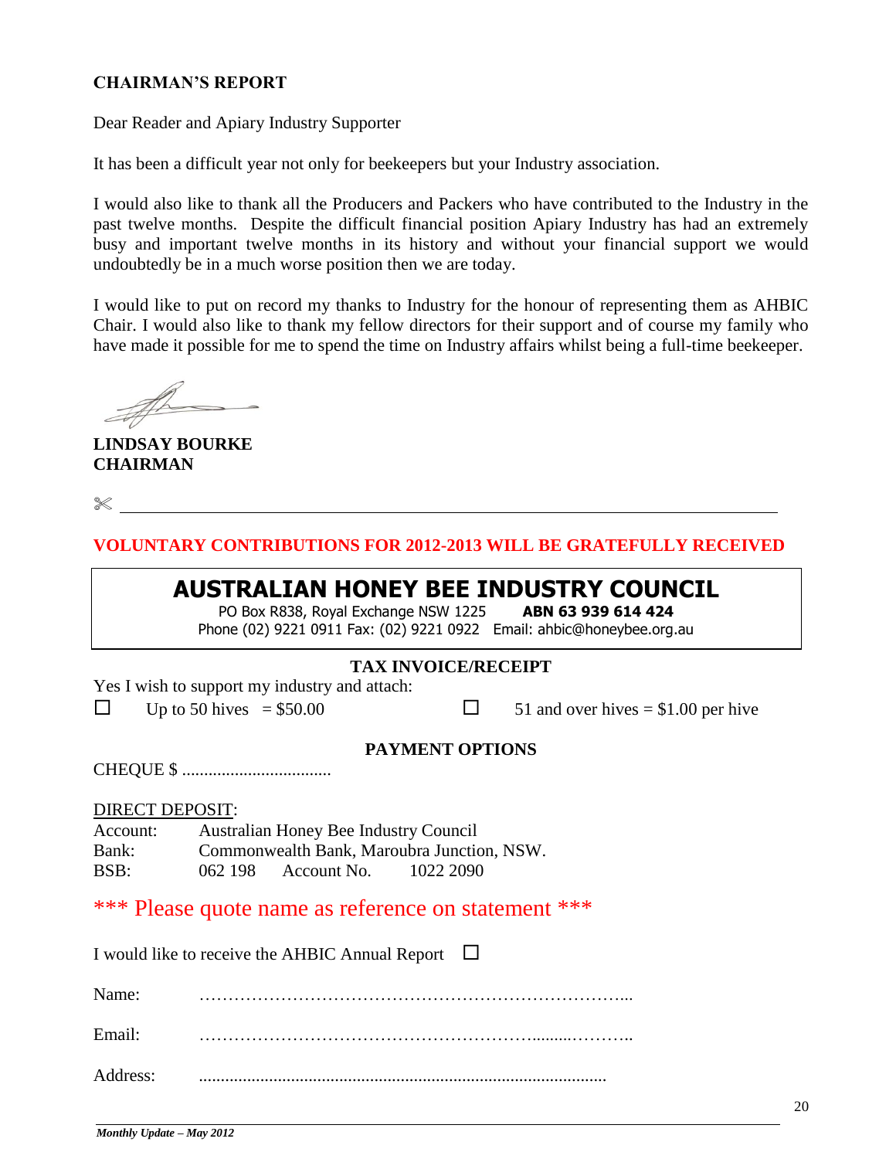#### **CHAIRMAN'S REPORT**

Dear Reader and Apiary Industry Supporter

It has been a difficult year not only for beekeepers but your Industry association.

I would also like to thank all the Producers and Packers who have contributed to the Industry in the past twelve months. Despite the difficult financial position Apiary Industry has had an extremely busy and important twelve months in its history and without your financial support we would undoubtedly be in a much worse position then we are today.

I would like to put on record my thanks to Industry for the honour of representing them as AHBIC Chair. I would also like to thank my fellow directors for their support and of course my family who have made it possible for me to spend the time on Industry affairs whilst being a full-time beekeeper.

**LINDSAY BOURKE CHAIRMAN**

 $\begin{matrix} \times \end{matrix}$ 

**VOLUNTARY CONTRIBUTIONS FOR 2012-2013 WILL BE GRATEFULLY RECEIVED**

# **AUSTRALIAN HONEY BEE INDUSTRY COUNCIL**

PO Box R838, Royal Exchange NSW 1225 **ABN 63 939 614 424** Phone (02) 9221 0911 Fax: (02) 9221 0922 Email: ahbic@honeybee.org.au

## **TAX INVOICE/RECEIPT**

Yes I wish to support my industry and attach:

 $\Box$  Up to 50 hives = \$50.00  $\Box$  51 and over hives = \$1.00 per hive

#### **PAYMENT OPTIONS**

CHEQUE \$ ..................................

DIRECT DEPOSIT:

| Account: |         | Australian Honey Bee Industry Council |                                            |
|----------|---------|---------------------------------------|--------------------------------------------|
| Bank:    |         |                                       | Commonwealth Bank, Maroubra Junction, NSW. |
| BSB:     | 062 198 | Account No.                           | 1022 2090                                  |

\*\*\* Please quote name as reference on statement \*\*\*

|          | I would like to receive the AHBIC Annual Report $\Box$ |  |
|----------|--------------------------------------------------------|--|
| Name:    |                                                        |  |
| Email:   |                                                        |  |
| Address: |                                                        |  |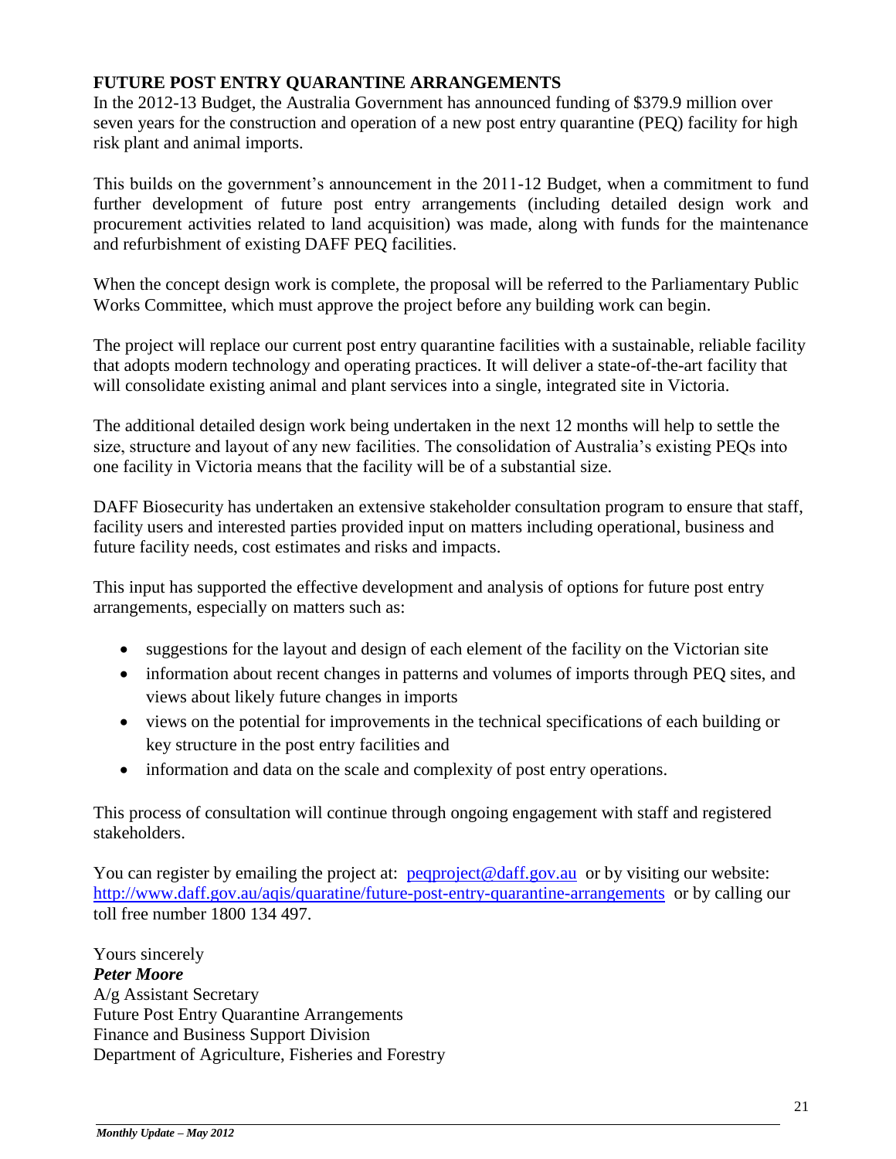# **FUTURE POST ENTRY QUARANTINE ARRANGEMENTS**

In the 2012-13 Budget, the Australia Government has announced funding of \$379.9 million over seven years for the construction and operation of a new post entry quarantine (PEQ) facility for high risk plant and animal imports.

This builds on the government's announcement in the 2011-12 Budget, when a commitment to fund further development of future post entry arrangements (including detailed design work and procurement activities related to land acquisition) was made, along with funds for the maintenance and refurbishment of existing DAFF PEQ facilities.

When the concept design work is complete, the proposal will be referred to the Parliamentary Public Works Committee, which must approve the project before any building work can begin.

The project will replace our current post entry quarantine facilities with a sustainable, reliable facility that adopts modern technology and operating practices. It will deliver a state-of-the-art facility that will consolidate existing animal and plant services into a single, integrated site in Victoria.

The additional detailed design work being undertaken in the next 12 months will help to settle the size, structure and layout of any new facilities. The consolidation of Australia's existing PEQs into one facility in Victoria means that the facility will be of a substantial size.

DAFF Biosecurity has undertaken an extensive stakeholder consultation program to ensure that staff, facility users and interested parties provided input on matters including operational, business and future facility needs, cost estimates and risks and impacts.

This input has supported the effective development and analysis of options for future post entry arrangements, especially on matters such as:

- suggestions for the layout and design of each element of the facility on the Victorian site
- information about recent changes in patterns and volumes of imports through PEQ sites, and views about likely future changes in imports
- views on the potential for improvements in the technical specifications of each building or key structure in the post entry facilities and
- information and data on the scale and complexity of post entry operations.

This process of consultation will continue through ongoing engagement with staff and registered stakeholders.

You can register by emailing the project at: [peqproject@daff.gov.au](mailto:peqproject@daff.gov.au) or by visiting our website: <http://www.daff.gov.au/aqis/quaratine/future-post-entry-quarantine-arrangements>or by calling our toll free number 1800 134 497.

Yours sincerely *Peter Moore*  A/g Assistant Secretary Future Post Entry Quarantine Arrangements Finance and Business Support Division Department of Agriculture, Fisheries and Forestry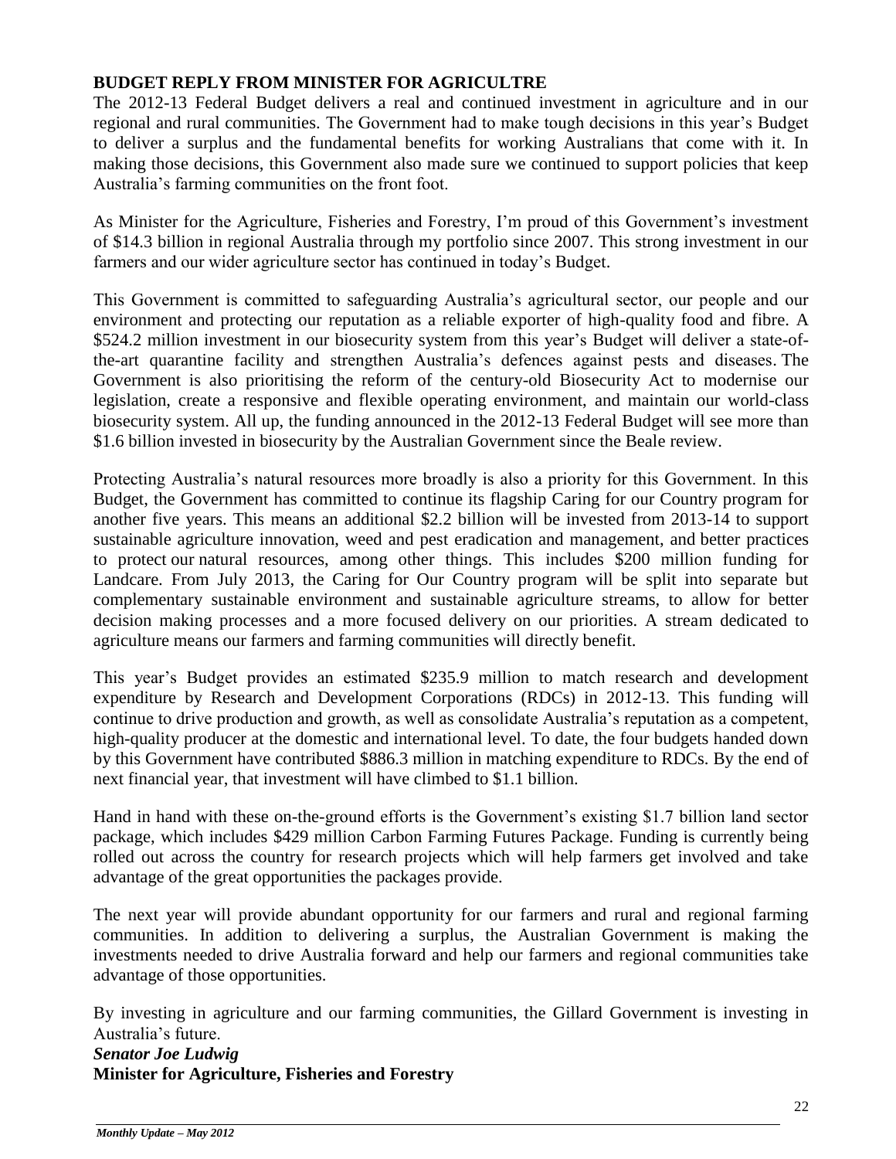## **BUDGET REPLY FROM MINISTER FOR AGRICULTRE**

The 2012-13 Federal Budget delivers a real and continued investment in agriculture and in our regional and rural communities. The Government had to make tough decisions in this year's Budget to deliver a surplus and the fundamental benefits for working Australians that come with it. In making those decisions, this Government also made sure we continued to support policies that keep Australia's farming communities on the front foot.

As Minister for the Agriculture, Fisheries and Forestry, I'm proud of this Government's investment of \$14.3 billion in regional Australia through my portfolio since 2007. This strong investment in our farmers and our wider agriculture sector has continued in today's Budget.

This Government is committed to safeguarding Australia's agricultural sector, our people and our environment and protecting our reputation as a reliable exporter of high-quality food and fibre. A \$524.2 million investment in our biosecurity system from this year's Budget will deliver a state-ofthe-art quarantine facility and strengthen Australia's defences against pests and diseases. The Government is also prioritising the reform of the century-old Biosecurity Act to modernise our legislation, create a responsive and flexible operating environment, and maintain our world-class biosecurity system. All up, the funding announced in the 2012-13 Federal Budget will see more than \$1.6 billion invested in biosecurity by the Australian Government since the Beale review.

Protecting Australia's natural resources more broadly is also a priority for this Government. In this Budget, the Government has committed to continue its flagship Caring for our Country program for another five years. This means an additional \$2.2 billion will be invested from 2013-14 to support sustainable agriculture innovation, weed and pest eradication and management, and better practices to protect our natural resources, among other things. This includes \$200 million funding for Landcare. From July 2013, the Caring for Our Country program will be split into separate but complementary sustainable environment and sustainable agriculture streams, to allow for better decision making processes and a more focused delivery on our priorities. A stream dedicated to agriculture means our farmers and farming communities will directly benefit.

This year's Budget provides an estimated \$235.9 million to match research and development expenditure by Research and Development Corporations (RDCs) in 2012-13. This funding will continue to drive production and growth, as well as consolidate Australia's reputation as a competent, high-quality producer at the domestic and international level. To date, the four budgets handed down by this Government have contributed \$886.3 million in matching expenditure to RDCs. By the end of next financial year, that investment will have climbed to \$1.1 billion.

Hand in hand with these on-the-ground efforts is the Government's existing \$1.7 billion land sector package, which includes \$429 million Carbon Farming Futures Package. Funding is currently being rolled out across the country for research projects which will help farmers get involved and take advantage of the great opportunities the packages provide.

The next year will provide abundant opportunity for our farmers and rural and regional farming communities. In addition to delivering a surplus, the Australian Government is making the investments needed to drive Australia forward and help our farmers and regional communities take advantage of those opportunities.

By investing in agriculture and our farming communities, the Gillard Government is investing in Australia's future.

*Senator Joe Ludwig* **Minister for Agriculture, Fisheries and Forestry**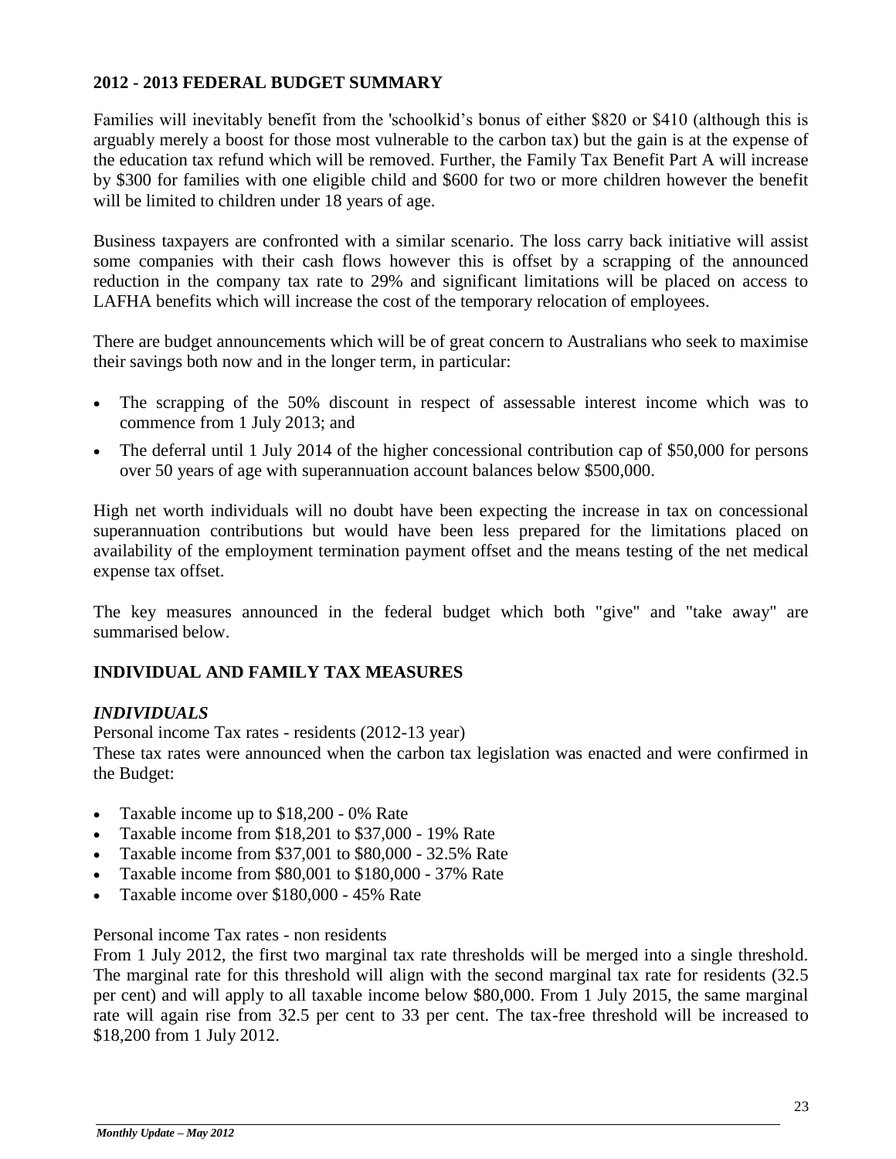#### **2012 - 2013 FEDERAL BUDGET SUMMARY**

Families will inevitably benefit from the 'schoolkid's bonus of either \$820 or \$410 (although this is arguably merely a boost for those most vulnerable to the carbon tax) but the gain is at the expense of the education tax refund which will be removed. Further, the Family Tax Benefit Part A will increase by \$300 for families with one eligible child and \$600 for two or more children however the benefit will be limited to children under 18 years of age.

Business taxpayers are confronted with a similar scenario. The loss carry back initiative will assist some companies with their cash flows however this is offset by a scrapping of the announced reduction in the company tax rate to 29% and significant limitations will be placed on access to LAFHA benefits which will increase the cost of the temporary relocation of employees.

There are budget announcements which will be of great concern to Australians who seek to maximise their savings both now and in the longer term, in particular:

- The scrapping of the 50% discount in respect of assessable interest income which was to commence from 1 July 2013; and
- The deferral until 1 July 2014 of the higher concessional contribution cap of \$50,000 for persons over 50 years of age with superannuation account balances below \$500,000.

High net worth individuals will no doubt have been expecting the increase in tax on concessional superannuation contributions but would have been less prepared for the limitations placed on availability of the employment termination payment offset and the means testing of the net medical expense tax offset.

The key measures announced in the federal budget which both "give" and "take away" are summarised below.

#### **INDIVIDUAL AND FAMILY TAX MEASURES**

#### *INDIVIDUALS*

Personal income Tax rates - residents (2012-13 year) These tax rates were announced when the carbon tax legislation was enacted and were confirmed in the Budget:

- Taxable income up to \$18,200 0% Rate
- Taxable income from \$18,201 to \$37,000 19% Rate
- Taxable income from \$37,001 to \$80,000 32.5% Rate
- Taxable income from \$80,001 to \$180,000 37% Rate
- Taxable income over \$180,000 45% Rate

#### Personal income Tax rates - non residents

From 1 July 2012, the first two marginal tax rate thresholds will be merged into a single threshold. The marginal rate for this threshold will align with the second marginal tax rate for residents (32.5 per cent) and will apply to all taxable income below \$80,000. From 1 July 2015, the same marginal rate will again rise from 32.5 per cent to 33 per cent. The tax-free threshold will be increased to \$18,200 from 1 July 2012.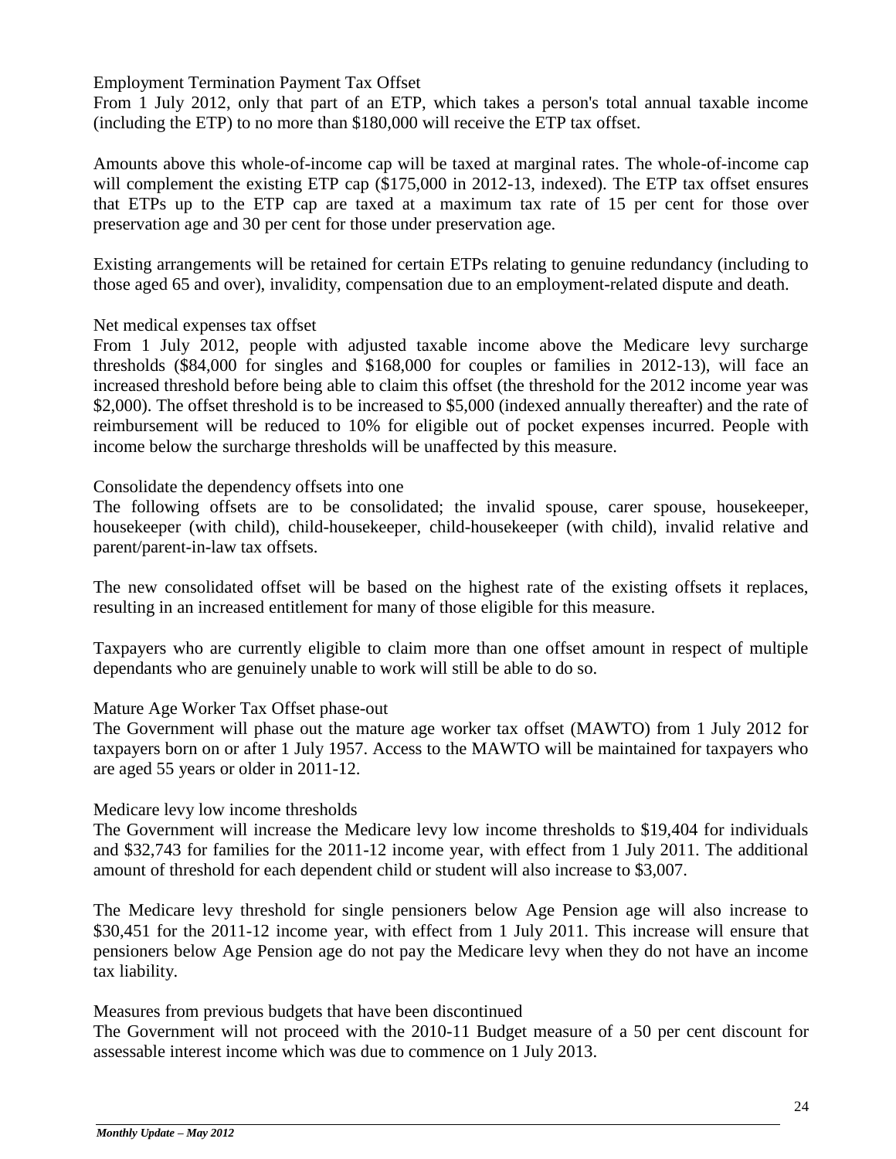Employment Termination Payment Tax Offset

From 1 July 2012, only that part of an ETP, which takes a person's total annual taxable income (including the ETP) to no more than \$180,000 will receive the ETP tax offset.

Amounts above this whole-of-income cap will be taxed at marginal rates. The whole-of-income cap will complement the existing ETP cap (\$175,000 in 2012-13, indexed). The ETP tax offset ensures that ETPs up to the ETP cap are taxed at a maximum tax rate of 15 per cent for those over preservation age and 30 per cent for those under preservation age.

Existing arrangements will be retained for certain ETPs relating to genuine redundancy (including to those aged 65 and over), invalidity, compensation due to an employment-related dispute and death.

#### Net medical expenses tax offset

From 1 July 2012, people with adjusted taxable income above the Medicare levy surcharge thresholds (\$84,000 for singles and \$168,000 for couples or families in 2012-13), will face an increased threshold before being able to claim this offset (the threshold for the 2012 income year was \$2,000). The offset threshold is to be increased to \$5,000 (indexed annually thereafter) and the rate of reimbursement will be reduced to 10% for eligible out of pocket expenses incurred. People with income below the surcharge thresholds will be unaffected by this measure.

#### Consolidate the dependency offsets into one

The following offsets are to be consolidated; the invalid spouse, carer spouse, housekeeper, housekeeper (with child), child-housekeeper, child-housekeeper (with child), invalid relative and parent/parent-in-law tax offsets.

The new consolidated offset will be based on the highest rate of the existing offsets it replaces, resulting in an increased entitlement for many of those eligible for this measure.

Taxpayers who are currently eligible to claim more than one offset amount in respect of multiple dependants who are genuinely unable to work will still be able to do so.

#### Mature Age Worker Tax Offset phase-out

The Government will phase out the mature age worker tax offset (MAWTO) from 1 July 2012 for taxpayers born on or after 1 July 1957. Access to the MAWTO will be maintained for taxpayers who are aged 55 years or older in 2011-12.

#### Medicare levy low income thresholds

The Government will increase the Medicare levy low income thresholds to \$19,404 for individuals and \$32,743 for families for the 2011-12 income year, with effect from 1 July 2011. The additional amount of threshold for each dependent child or student will also increase to \$3,007.

The Medicare levy threshold for single pensioners below Age Pension age will also increase to \$30,451 for the 2011-12 income year, with effect from 1 July 2011. This increase will ensure that pensioners below Age Pension age do not pay the Medicare levy when they do not have an income tax liability.

Measures from previous budgets that have been discontinued

The Government will not proceed with the 2010-11 Budget measure of a 50 per cent discount for assessable interest income which was due to commence on 1 July 2013.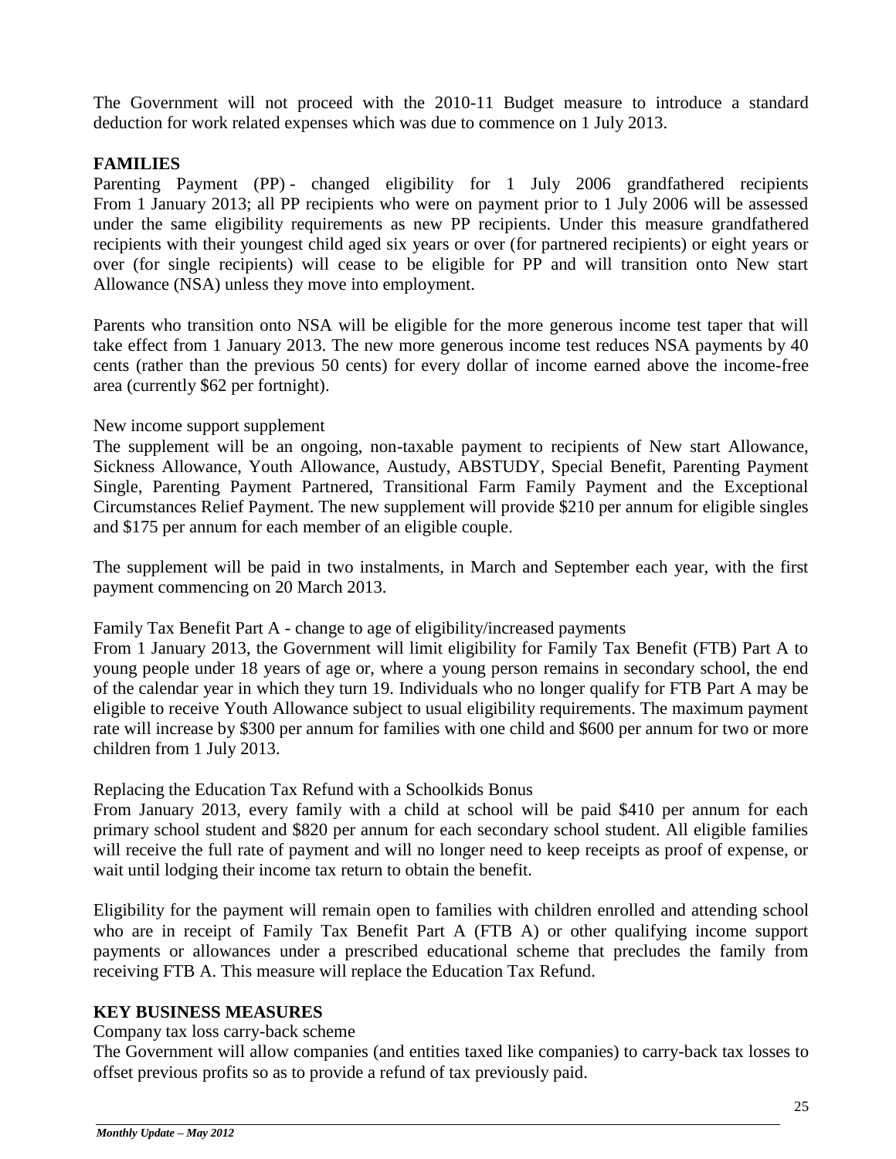The Government will not proceed with the 2010-11 Budget measure to introduce a standard deduction for work related expenses which was due to commence on 1 July 2013.

## **FAMILIES**

Parenting Payment (PP) - changed eligibility for 1 July 2006 grandfathered recipients From 1 January 2013; all PP recipients who were on payment prior to 1 July 2006 will be assessed under the same eligibility requirements as new PP recipients. Under this measure grandfathered recipients with their youngest child aged six years or over (for partnered recipients) or eight years or over (for single recipients) will cease to be eligible for PP and will transition onto New start Allowance (NSA) unless they move into employment.

Parents who transition onto NSA will be eligible for the more generous income test taper that will take effect from 1 January 2013. The new more generous income test reduces NSA payments by 40 cents (rather than the previous 50 cents) for every dollar of income earned above the income-free area (currently \$62 per fortnight).

#### New income support supplement

The supplement will be an ongoing, non-taxable payment to recipients of New start Allowance, Sickness Allowance, Youth Allowance, Austudy, ABSTUDY, Special Benefit, Parenting Payment Single, Parenting Payment Partnered, Transitional Farm Family Payment and the Exceptional Circumstances Relief Payment. The new supplement will provide \$210 per annum for eligible singles and \$175 per annum for each member of an eligible couple.

The supplement will be paid in two instalments, in March and September each year, with the first payment commencing on 20 March 2013.

Family Tax Benefit Part A - change to age of eligibility/increased payments

From 1 January 2013, the Government will limit eligibility for Family Tax Benefit (FTB) Part A to young people under 18 years of age or, where a young person remains in secondary school, the end of the calendar year in which they turn 19. Individuals who no longer qualify for FTB Part A may be eligible to receive Youth Allowance subject to usual eligibility requirements. The maximum payment rate will increase by \$300 per annum for families with one child and \$600 per annum for two or more children from 1 July 2013.

#### Replacing the Education Tax Refund with a Schoolkids Bonus

From January 2013, every family with a child at school will be paid \$410 per annum for each primary school student and \$820 per annum for each secondary school student. All eligible families will receive the full rate of payment and will no longer need to keep receipts as proof of expense, or wait until lodging their income tax return to obtain the benefit.

Eligibility for the payment will remain open to families with children enrolled and attending school who are in receipt of Family Tax Benefit Part A (FTB A) or other qualifying income support payments or allowances under a prescribed educational scheme that precludes the family from receiving FTB A. This measure will replace the Education Tax Refund.

#### **KEY BUSINESS MEASURES**

Company tax loss carry-back scheme

The Government will allow companies (and entities taxed like companies) to carry-back tax losses to offset previous profits so as to provide a refund of tax previously paid.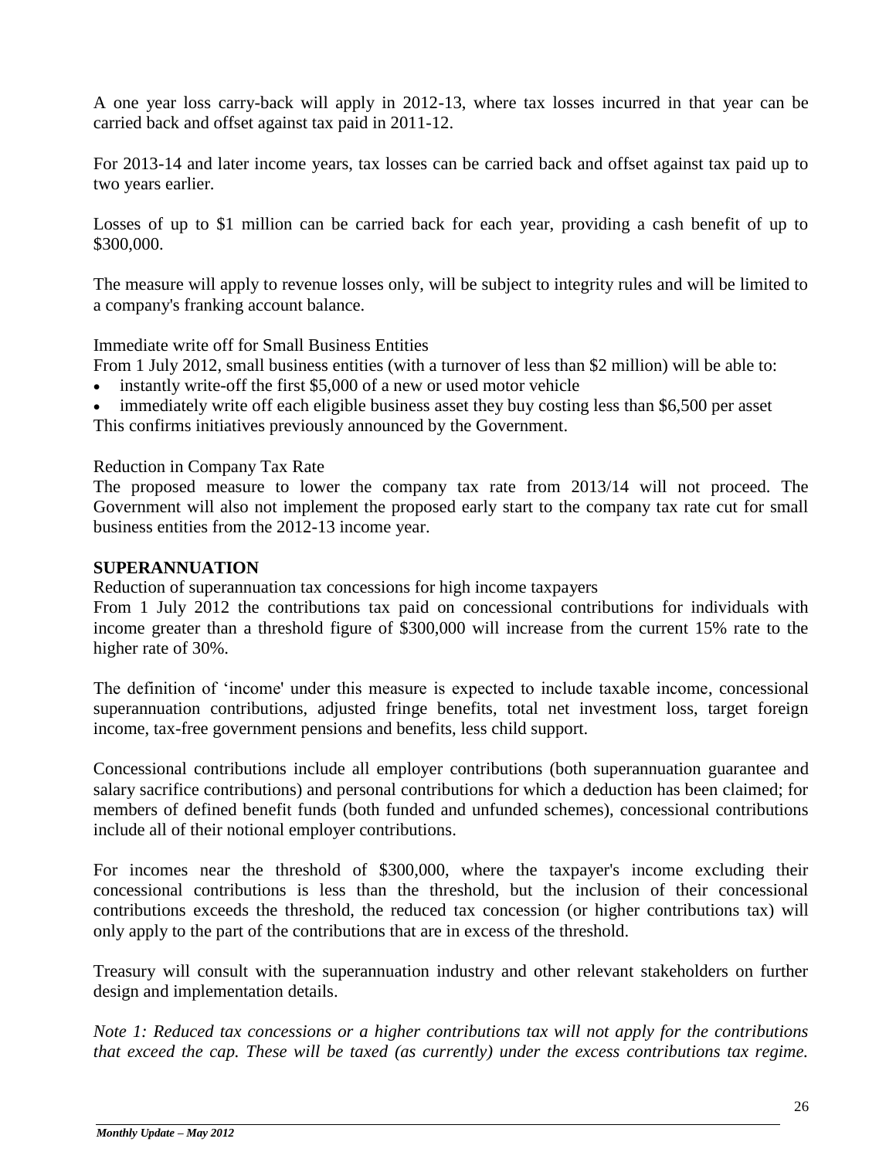A one year loss carry-back will apply in 2012-13, where tax losses incurred in that year can be carried back and offset against tax paid in 2011-12.

For 2013-14 and later income years, tax losses can be carried back and offset against tax paid up to two years earlier.

Losses of up to \$1 million can be carried back for each year, providing a cash benefit of up to \$300,000.

The measure will apply to revenue losses only, will be subject to integrity rules and will be limited to a company's franking account balance.

Immediate write off for Small Business Entities

From 1 July 2012, small business entities (with a turnover of less than \$2 million) will be able to:

- instantly write-off the first \$5,000 of a new or used motor vehicle
- immediately write off each eligible business asset they buy costing less than \$6,500 per asset This confirms initiatives previously announced by the Government.

Reduction in Company Tax Rate

The proposed measure to lower the company tax rate from 2013/14 will not proceed. The Government will also not implement the proposed early start to the company tax rate cut for small business entities from the 2012-13 income year.

# **SUPERANNUATION**

Reduction of superannuation tax concessions for high income taxpayers

From 1 July 2012 the contributions tax paid on concessional contributions for individuals with income greater than a threshold figure of \$300,000 will increase from the current 15% rate to the higher rate of 30%.

The definition of 'income' under this measure is expected to include taxable income, concessional superannuation contributions, adjusted fringe benefits, total net investment loss, target foreign income, tax-free government pensions and benefits, less child support.

Concessional contributions include all employer contributions (both superannuation guarantee and salary sacrifice contributions) and personal contributions for which a deduction has been claimed; for members of defined benefit funds (both funded and unfunded schemes), concessional contributions include all of their notional employer contributions.

For incomes near the threshold of \$300,000, where the taxpayer's income excluding their concessional contributions is less than the threshold, but the inclusion of their concessional contributions exceeds the threshold, the reduced tax concession (or higher contributions tax) will only apply to the part of the contributions that are in excess of the threshold.

Treasury will consult with the superannuation industry and other relevant stakeholders on further design and implementation details.

*Note 1: Reduced tax concessions or a higher contributions tax will not apply for the contributions that exceed the cap. These will be taxed (as currently) under the excess contributions tax regime.*